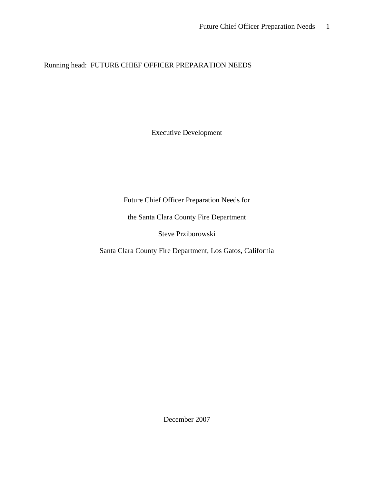Running head: FUTURE CHIEF OFFICER PREPARATION NEEDS

Executive Development

Future Chief Officer Preparation Needs for

the Santa Clara County Fire Department

Steve Prziborowski

Santa Clara County Fire Department, Los Gatos, California

December 2007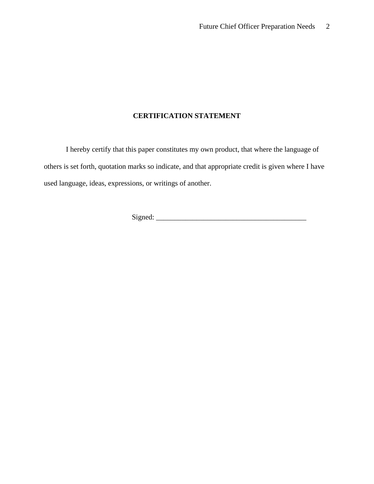## **CERTIFICATION STATEMENT**

I hereby certify that this paper constitutes my own product, that where the language of others is set forth, quotation marks so indicate, and that appropriate credit is given where I have used language, ideas, expressions, or writings of another.

Signed: \_\_\_\_\_\_\_\_\_\_\_\_\_\_\_\_\_\_\_\_\_\_\_\_\_\_\_\_\_\_\_\_\_\_\_\_\_\_\_\_\_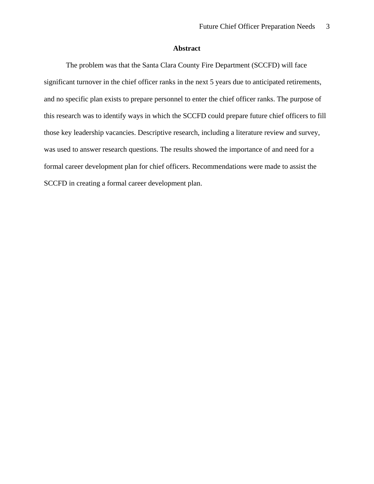## **Abstract**

The problem was that the Santa Clara County Fire Department (SCCFD) will face significant turnover in the chief officer ranks in the next 5 years due to anticipated retirements, and no specific plan exists to prepare personnel to enter the chief officer ranks. The purpose of this research was to identify ways in which the SCCFD could prepare future chief officers to fill those key leadership vacancies. Descriptive research, including a literature review and survey, was used to answer research questions. The results showed the importance of and need for a formal career development plan for chief officers. Recommendations were made to assist the SCCFD in creating a formal career development plan.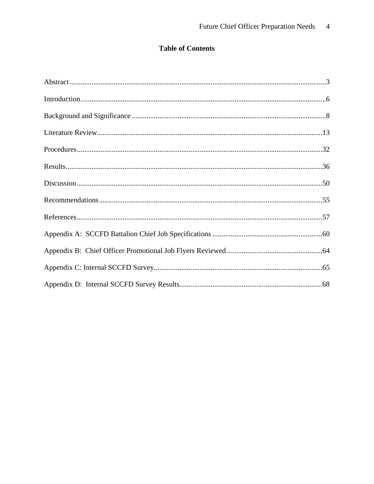## **Table of Contents**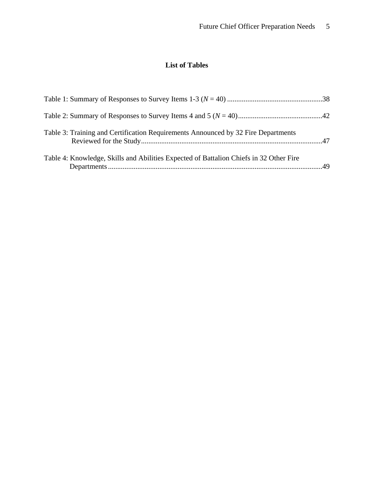# **List of Tables**

| Table 3: Training and Certification Requirements Announced by 32 Fire Departments      |  |
|----------------------------------------------------------------------------------------|--|
| Table 4: Knowledge, Skills and Abilities Expected of Battalion Chiefs in 32 Other Fire |  |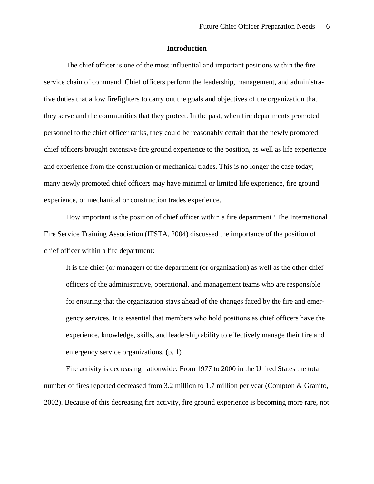#### **Introduction**

The chief officer is one of the most influential and important positions within the fire service chain of command. Chief officers perform the leadership, management, and administrative duties that allow firefighters to carry out the goals and objectives of the organization that they serve and the communities that they protect. In the past, when fire departments promoted personnel to the chief officer ranks, they could be reasonably certain that the newly promoted chief officers brought extensive fire ground experience to the position, as well as life experience and experience from the construction or mechanical trades. This is no longer the case today; many newly promoted chief officers may have minimal or limited life experience, fire ground experience, or mechanical or construction trades experience.

How important is the position of chief officer within a fire department? The International Fire Service Training Association (IFSTA, 2004) discussed the importance of the position of chief officer within a fire department:

It is the chief (or manager) of the department (or organization) as well as the other chief officers of the administrative, operational, and management teams who are responsible for ensuring that the organization stays ahead of the changes faced by the fire and emergency services. It is essential that members who hold positions as chief officers have the experience, knowledge, skills, and leadership ability to effectively manage their fire and emergency service organizations. (p. 1)

Fire activity is decreasing nationwide. From 1977 to 2000 in the United States the total number of fires reported decreased from 3.2 million to 1.7 million per year (Compton & Granito, 2002). Because of this decreasing fire activity, fire ground experience is becoming more rare, not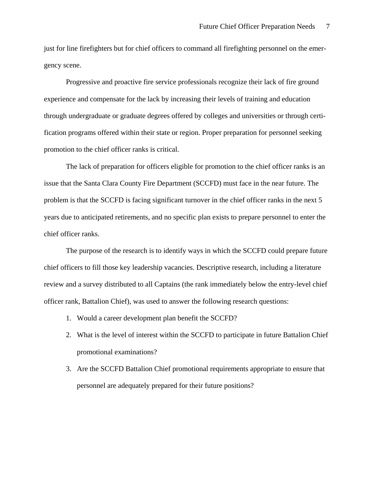just for line firefighters but for chief officers to command all firefighting personnel on the emergency scene.

Progressive and proactive fire service professionals recognize their lack of fire ground experience and compensate for the lack by increasing their levels of training and education through undergraduate or graduate degrees offered by colleges and universities or through certification programs offered within their state or region. Proper preparation for personnel seeking promotion to the chief officer ranks is critical.

The lack of preparation for officers eligible for promotion to the chief officer ranks is an issue that the Santa Clara County Fire Department (SCCFD) must face in the near future. The problem is that the SCCFD is facing significant turnover in the chief officer ranks in the next 5 years due to anticipated retirements, and no specific plan exists to prepare personnel to enter the chief officer ranks.

The purpose of the research is to identify ways in which the SCCFD could prepare future chief officers to fill those key leadership vacancies. Descriptive research, including a literature review and a survey distributed to all Captains (the rank immediately below the entry-level chief officer rank, Battalion Chief), was used to answer the following research questions:

- 1. Would a career development plan benefit the SCCFD?
- 2. What is the level of interest within the SCCFD to participate in future Battalion Chief promotional examinations?
- 3. Are the SCCFD Battalion Chief promotional requirements appropriate to ensure that personnel are adequately prepared for their future positions?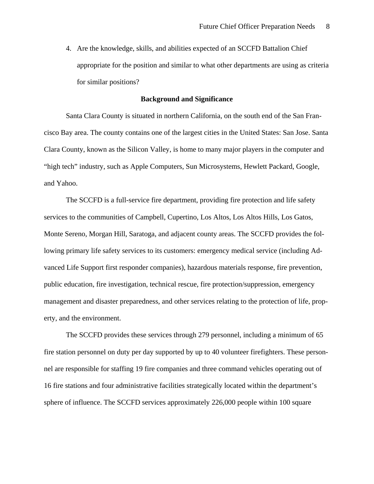4. Are the knowledge, skills, and abilities expected of an SCCFD Battalion Chief appropriate for the position and similar to what other departments are using as criteria for similar positions?

#### **Background and Significance**

Santa Clara County is situated in northern California, on the south end of the San Francisco Bay area. The county contains one of the largest cities in the United States: San Jose. Santa Clara County, known as the Silicon Valley, is home to many major players in the computer and "high tech" industry, such as Apple Computers, Sun Microsystems, Hewlett Packard, Google, and Yahoo.

The SCCFD is a full-service fire department, providing fire protection and life safety services to the communities of Campbell, Cupertino, Los Altos, Los Altos Hills, Los Gatos, Monte Sereno, Morgan Hill, Saratoga, and adjacent county areas. The SCCFD provides the following primary life safety services to its customers: emergency medical service (including Advanced Life Support first responder companies), hazardous materials response, fire prevention, public education, fire investigation, technical rescue, fire protection/suppression, emergency management and disaster preparedness, and other services relating to the protection of life, property, and the environment.

The SCCFD provides these services through 279 personnel, including a minimum of 65 fire station personnel on duty per day supported by up to 40 volunteer firefighters. These personnel are responsible for staffing 19 fire companies and three command vehicles operating out of 16 fire stations and four administrative facilities strategically located within the department's sphere of influence. The SCCFD services approximately 226,000 people within 100 square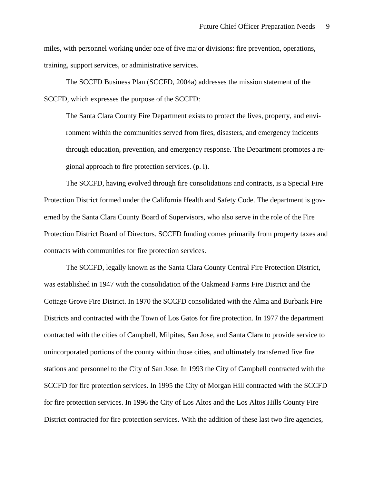miles, with personnel working under one of five major divisions: fire prevention, operations, training, support services, or administrative services.

The SCCFD Business Plan (SCCFD, 2004a) addresses the mission statement of the SCCFD, which expresses the purpose of the SCCFD:

The Santa Clara County Fire Department exists to protect the lives, property, and environment within the communities served from fires, disasters, and emergency incidents through education, prevention, and emergency response. The Department promotes a regional approach to fire protection services. (p. i).

The SCCFD, having evolved through fire consolidations and contracts, is a Special Fire Protection District formed under the California Health and Safety Code. The department is governed by the Santa Clara County Board of Supervisors, who also serve in the role of the Fire Protection District Board of Directors. SCCFD funding comes primarily from property taxes and contracts with communities for fire protection services.

The SCCFD, legally known as the Santa Clara County Central Fire Protection District, was established in 1947 with the consolidation of the Oakmead Farms Fire District and the Cottage Grove Fire District. In 1970 the SCCFD consolidated with the Alma and Burbank Fire Districts and contracted with the Town of Los Gatos for fire protection. In 1977 the department contracted with the cities of Campbell, Milpitas, San Jose, and Santa Clara to provide service to unincorporated portions of the county within those cities, and ultimately transferred five fire stations and personnel to the City of San Jose. In 1993 the City of Campbell contracted with the SCCFD for fire protection services. In 1995 the City of Morgan Hill contracted with the SCCFD for fire protection services. In 1996 the City of Los Altos and the Los Altos Hills County Fire District contracted for fire protection services. With the addition of these last two fire agencies,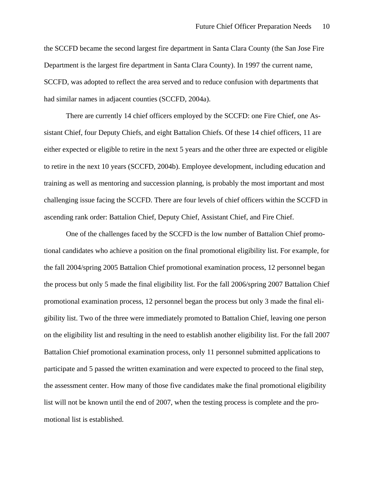the SCCFD became the second largest fire department in Santa Clara County (the San Jose Fire Department is the largest fire department in Santa Clara County). In 1997 the current name, SCCFD, was adopted to reflect the area served and to reduce confusion with departments that had similar names in adjacent counties (SCCFD, 2004a).

There are currently 14 chief officers employed by the SCCFD: one Fire Chief, one Assistant Chief, four Deputy Chiefs, and eight Battalion Chiefs. Of these 14 chief officers, 11 are either expected or eligible to retire in the next 5 years and the other three are expected or eligible to retire in the next 10 years (SCCFD, 2004b). Employee development, including education and training as well as mentoring and succession planning, is probably the most important and most challenging issue facing the SCCFD. There are four levels of chief officers within the SCCFD in ascending rank order: Battalion Chief, Deputy Chief, Assistant Chief, and Fire Chief.

One of the challenges faced by the SCCFD is the low number of Battalion Chief promotional candidates who achieve a position on the final promotional eligibility list. For example, for the fall 2004/spring 2005 Battalion Chief promotional examination process, 12 personnel began the process but only 5 made the final eligibility list. For the fall 2006/spring 2007 Battalion Chief promotional examination process, 12 personnel began the process but only 3 made the final eligibility list. Two of the three were immediately promoted to Battalion Chief, leaving one person on the eligibility list and resulting in the need to establish another eligibility list. For the fall 2007 Battalion Chief promotional examination process, only 11 personnel submitted applications to participate and 5 passed the written examination and were expected to proceed to the final step, the assessment center. How many of those five candidates make the final promotional eligibility list will not be known until the end of 2007, when the testing process is complete and the promotional list is established.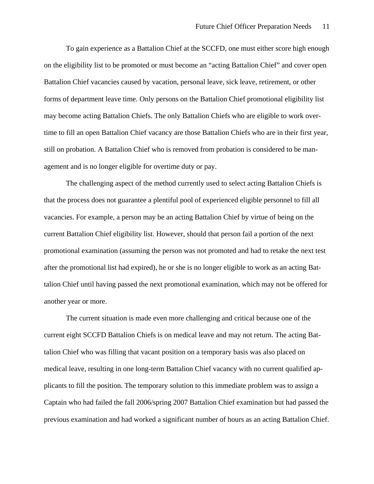To gain experience as a Battalion Chief at the SCCFD, one must either score high enough on the eligibility list to be promoted or must become an "acting Battalion Chief" and cover open Battalion Chief vacancies caused by vacation, personal leave, sick leave, retirement, or other forms of department leave time. Only persons on the Battalion Chief promotional eligibility list may become acting Battalion Chiefs. The only Battalion Chiefs who are eligible to work overtime to fill an open Battalion Chief vacancy are those Battalion Chiefs who are in their first year, still on probation. A Battalion Chief who is removed from probation is considered to be management and is no longer eligible for overtime duty or pay.

The challenging aspect of the method currently used to select acting Battalion Chiefs is that the process does not guarantee a plentiful pool of experienced eligible personnel to fill all vacancies. For example, a person may be an acting Battalion Chief by virtue of being on the current Battalion Chief eligibility list. However, should that person fail a portion of the next promotional examination (assuming the person was not promoted and had to retake the next test after the promotional list had expired), he or she is no longer eligible to work as an acting Battalion Chief until having passed the next promotional examination, which may not be offered for another year or more.

The current situation is made even more challenging and critical because one of the current eight SCCFD Battalion Chiefs is on medical leave and may not return. The acting Battalion Chief who was filling that vacant position on a temporary basis was also placed on medical leave, resulting in one long-term Battalion Chief vacancy with no current qualified applicants to fill the position. The temporary solution to this immediate problem was to assign a Captain who had failed the fall 2006/spring 2007 Battalion Chief examination but had passed the previous examination and had worked a significant number of hours as an acting Battalion Chief.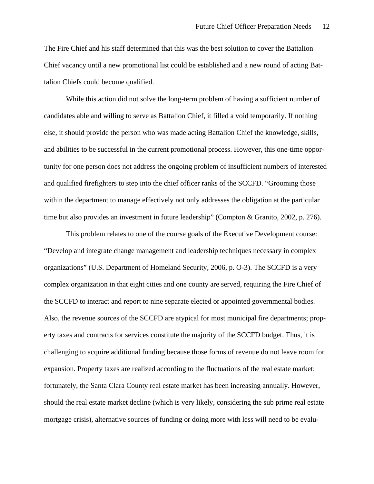The Fire Chief and his staff determined that this was the best solution to cover the Battalion Chief vacancy until a new promotional list could be established and a new round of acting Battalion Chiefs could become qualified.

While this action did not solve the long-term problem of having a sufficient number of candidates able and willing to serve as Battalion Chief, it filled a void temporarily. If nothing else, it should provide the person who was made acting Battalion Chief the knowledge, skills, and abilities to be successful in the current promotional process. However, this one-time opportunity for one person does not address the ongoing problem of insufficient numbers of interested and qualified firefighters to step into the chief officer ranks of the SCCFD. "Grooming those within the department to manage effectively not only addresses the obligation at the particular time but also provides an investment in future leadership" (Compton & Granito, 2002, p. 276).

This problem relates to one of the course goals of the Executive Development course: "Develop and integrate change management and leadership techniques necessary in complex organizations" (U.S. Department of Homeland Security, 2006, p. O-3). The SCCFD is a very complex organization in that eight cities and one county are served, requiring the Fire Chief of the SCCFD to interact and report to nine separate elected or appointed governmental bodies. Also, the revenue sources of the SCCFD are atypical for most municipal fire departments; property taxes and contracts for services constitute the majority of the SCCFD budget. Thus, it is challenging to acquire additional funding because those forms of revenue do not leave room for expansion. Property taxes are realized according to the fluctuations of the real estate market; fortunately, the Santa Clara County real estate market has been increasing annually. However, should the real estate market decline (which is very likely, considering the sub prime real estate mortgage crisis), alternative sources of funding or doing more with less will need to be evalu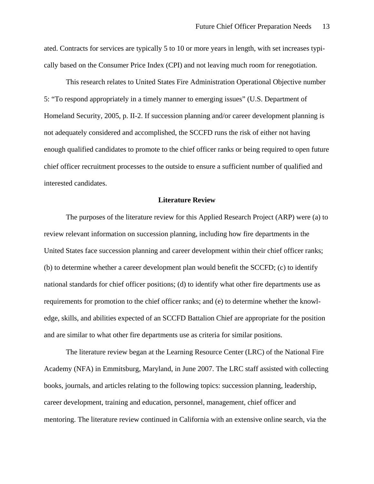ated. Contracts for services are typically 5 to 10 or more years in length, with set increases typically based on the Consumer Price Index (CPI) and not leaving much room for renegotiation.

This research relates to United States Fire Administration Operational Objective number 5: "To respond appropriately in a timely manner to emerging issues" (U.S. Department of Homeland Security, 2005, p. II-2. If succession planning and/or career development planning is not adequately considered and accomplished, the SCCFD runs the risk of either not having enough qualified candidates to promote to the chief officer ranks or being required to open future chief officer recruitment processes to the outside to ensure a sufficient number of qualified and interested candidates.

#### **Literature Review**

The purposes of the literature review for this Applied Research Project (ARP) were (a) to review relevant information on succession planning, including how fire departments in the United States face succession planning and career development within their chief officer ranks; (b) to determine whether a career development plan would benefit the SCCFD; (c) to identify national standards for chief officer positions; (d) to identify what other fire departments use as requirements for promotion to the chief officer ranks; and (e) to determine whether the knowledge, skills, and abilities expected of an SCCFD Battalion Chief are appropriate for the position and are similar to what other fire departments use as criteria for similar positions.

The literature review began at the Learning Resource Center (LRC) of the National Fire Academy (NFA) in Emmitsburg, Maryland, in June 2007. The LRC staff assisted with collecting books, journals, and articles relating to the following topics: succession planning, leadership, career development, training and education, personnel, management, chief officer and mentoring. The literature review continued in California with an extensive online search, via the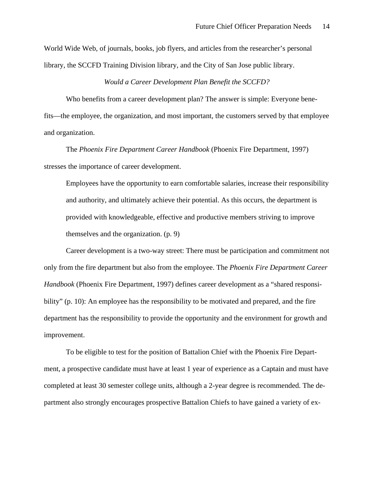World Wide Web, of journals, books, job flyers, and articles from the researcher's personal library, the SCCFD Training Division library, and the City of San Jose public library.

#### *Would a Career Development Plan Benefit the SCCFD?*

Who benefits from a career development plan? The answer is simple: Everyone benefits—the employee, the organization, and most important, the customers served by that employee and organization.

The *Phoenix Fire Department Career Handbook* (Phoenix Fire Department, 1997) stresses the importance of career development.

Employees have the opportunity to earn comfortable salaries, increase their responsibility and authority, and ultimately achieve their potential. As this occurs, the department is provided with knowledgeable, effective and productive members striving to improve themselves and the organization. (p. 9)

Career development is a two-way street: There must be participation and commitment not only from the fire department but also from the employee. The *Phoenix Fire Department Career Handbook* (Phoenix Fire Department, 1997) defines career development as a "shared responsibility" (p. 10): An employee has the responsibility to be motivated and prepared, and the fire department has the responsibility to provide the opportunity and the environment for growth and improvement.

To be eligible to test for the position of Battalion Chief with the Phoenix Fire Department, a prospective candidate must have at least 1 year of experience as a Captain and must have completed at least 30 semester college units, although a 2-year degree is recommended. The department also strongly encourages prospective Battalion Chiefs to have gained a variety of ex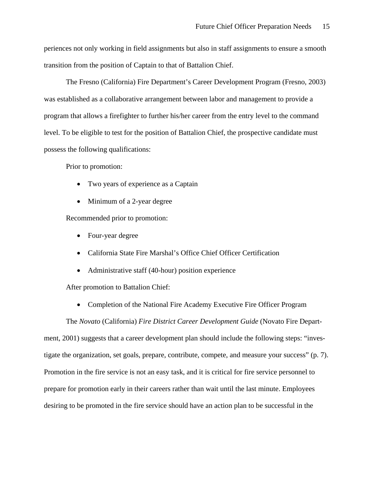periences not only working in field assignments but also in staff assignments to ensure a smooth transition from the position of Captain to that of Battalion Chief.

The Fresno (California) Fire Department's Career Development Program (Fresno, 2003) was established as a collaborative arrangement between labor and management to provide a program that allows a firefighter to further his/her career from the entry level to the command level. To be eligible to test for the position of Battalion Chief, the prospective candidate must possess the following qualifications:

Prior to promotion:

- Two years of experience as a Captain
- Minimum of a 2-year degree

Recommended prior to promotion:

- Four-year degree
- California State Fire Marshal's Office Chief Officer Certification
- Administrative staff (40-hour) position experience

After promotion to Battalion Chief:

• Completion of the National Fire Academy Executive Fire Officer Program

The *Novato* (California) *Fire District Career Development Guide* (Novato Fire Department, 2001) suggests that a career development plan should include the following steps: "investigate the organization, set goals, prepare, contribute, compete, and measure your success" (p. 7). Promotion in the fire service is not an easy task, and it is critical for fire service personnel to prepare for promotion early in their careers rather than wait until the last minute. Employees desiring to be promoted in the fire service should have an action plan to be successful in the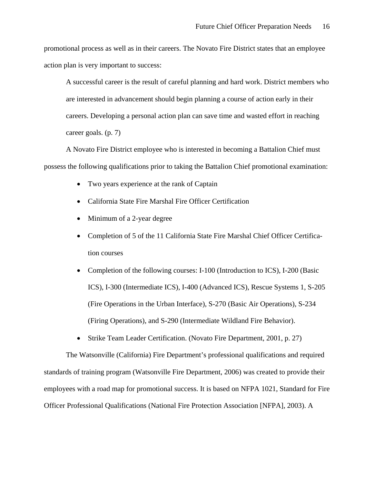promotional process as well as in their careers. The Novato Fire District states that an employee action plan is very important to success:

A successful career is the result of careful planning and hard work. District members who are interested in advancement should begin planning a course of action early in their careers. Developing a personal action plan can save time and wasted effort in reaching career goals. (p. 7)

A Novato Fire District employee who is interested in becoming a Battalion Chief must possess the following qualifications prior to taking the Battalion Chief promotional examination:

- Two years experience at the rank of Captain
- California State Fire Marshal Fire Officer Certification
- Minimum of a 2-year degree
- Completion of 5 of the 11 California State Fire Marshal Chief Officer Certification courses
- Completion of the following courses: I-100 (Introduction to ICS), I-200 (Basic ICS), I-300 (Intermediate ICS), I-400 (Advanced ICS), Rescue Systems 1, S-205 (Fire Operations in the Urban Interface), S-270 (Basic Air Operations), S-234 (Firing Operations), and S-290 (Intermediate Wildland Fire Behavior).
- Strike Team Leader Certification. (Novato Fire Department, 2001, p. 27)

The Watsonville (California) Fire Department's professional qualifications and required standards of training program (Watsonville Fire Department, 2006) was created to provide their employees with a road map for promotional success. It is based on NFPA 1021, Standard for Fire Officer Professional Qualifications (National Fire Protection Association [NFPA], 2003). A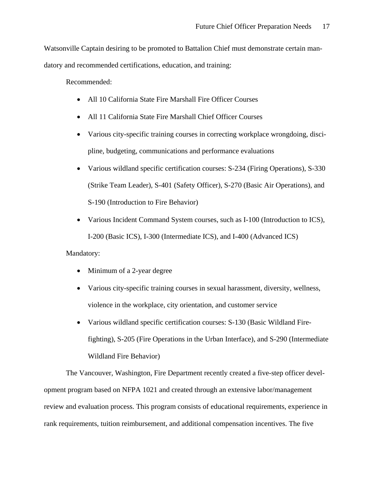Watsonville Captain desiring to be promoted to Battalion Chief must demonstrate certain man-

datory and recommended certifications, education, and training:

Recommended:

- All 10 California State Fire Marshall Fire Officer Courses
- All 11 California State Fire Marshall Chief Officer Courses
- Various city-specific training courses in correcting workplace wrongdoing, discipline, budgeting, communications and performance evaluations
- Various wildland specific certification courses: S-234 (Firing Operations), S-330 (Strike Team Leader), S-401 (Safety Officer), S-270 (Basic Air Operations), and S-190 (Introduction to Fire Behavior)
- Various Incident Command System courses, such as I-100 (Introduction to ICS), I-200 (Basic ICS), I-300 (Intermediate ICS), and I-400 (Advanced ICS)

Mandatory:

- Minimum of a 2-year degree
- Various city-specific training courses in sexual harassment, diversity, wellness, violence in the workplace, city orientation, and customer service
- Various wildland specific certification courses: S-130 (Basic Wildland Firefighting), S-205 (Fire Operations in the Urban Interface), and S-290 (Intermediate Wildland Fire Behavior)

The Vancouver, Washington, Fire Department recently created a five-step officer development program based on NFPA 1021 and created through an extensive labor/management review and evaluation process. This program consists of educational requirements, experience in rank requirements, tuition reimbursement, and additional compensation incentives. The five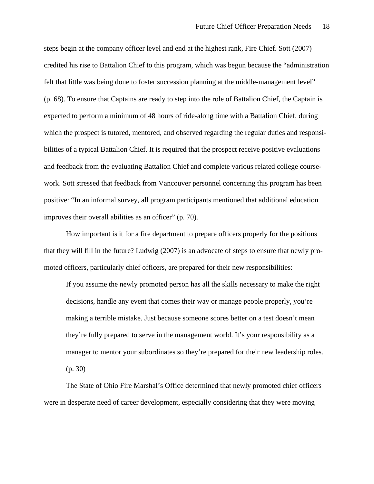steps begin at the company officer level and end at the highest rank, Fire Chief. Sott (2007) credited his rise to Battalion Chief to this program, which was begun because the "administration felt that little was being done to foster succession planning at the middle-management level" (p. 68). To ensure that Captains are ready to step into the role of Battalion Chief, the Captain is expected to perform a minimum of 48 hours of ride-along time with a Battalion Chief, during which the prospect is tutored, mentored, and observed regarding the regular duties and responsibilities of a typical Battalion Chief. It is required that the prospect receive positive evaluations and feedback from the evaluating Battalion Chief and complete various related college coursework. Sott stressed that feedback from Vancouver personnel concerning this program has been positive: "In an informal survey, all program participants mentioned that additional education improves their overall abilities as an officer" (p. 70).

How important is it for a fire department to prepare officers properly for the positions that they will fill in the future? Ludwig (2007) is an advocate of steps to ensure that newly promoted officers, particularly chief officers, are prepared for their new responsibilities:

If you assume the newly promoted person has all the skills necessary to make the right decisions, handle any event that comes their way or manage people properly, you're making a terrible mistake. Just because someone scores better on a test doesn't mean they're fully prepared to serve in the management world. It's your responsibility as a manager to mentor your subordinates so they're prepared for their new leadership roles. (p. 30)

The State of Ohio Fire Marshal's Office determined that newly promoted chief officers were in desperate need of career development, especially considering that they were moving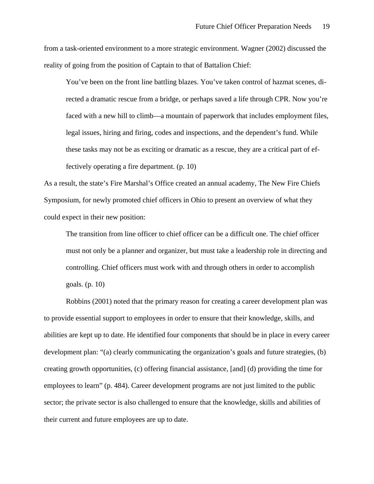from a task-oriented environment to a more strategic environment. Wagner (2002) discussed the reality of going from the position of Captain to that of Battalion Chief:

You've been on the front line battling blazes. You've taken control of hazmat scenes, directed a dramatic rescue from a bridge, or perhaps saved a life through CPR. Now you're faced with a new hill to climb—a mountain of paperwork that includes employment files, legal issues, hiring and firing, codes and inspections, and the dependent's fund. While these tasks may not be as exciting or dramatic as a rescue, they are a critical part of effectively operating a fire department. (p. 10)

As a result, the state's Fire Marshal's Office created an annual academy, The New Fire Chiefs Symposium, for newly promoted chief officers in Ohio to present an overview of what they could expect in their new position:

The transition from line officer to chief officer can be a difficult one. The chief officer must not only be a planner and organizer, but must take a leadership role in directing and controlling. Chief officers must work with and through others in order to accomplish goals. (p. 10)

Robbins (2001) noted that the primary reason for creating a career development plan was to provide essential support to employees in order to ensure that their knowledge, skills, and abilities are kept up to date. He identified four components that should be in place in every career development plan: "(a) clearly communicating the organization's goals and future strategies, (b) creating growth opportunities, (c) offering financial assistance, [and] (d) providing the time for employees to learn" (p. 484). Career development programs are not just limited to the public sector; the private sector is also challenged to ensure that the knowledge, skills and abilities of their current and future employees are up to date.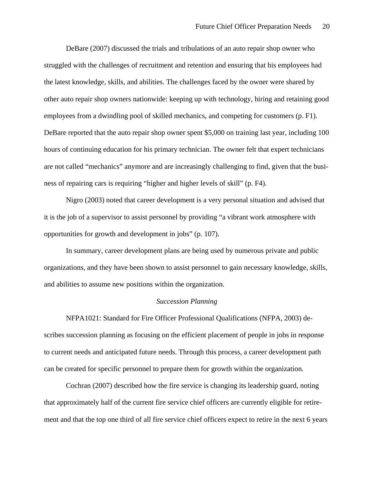DeBare (2007) discussed the trials and tribulations of an auto repair shop owner who struggled with the challenges of recruitment and retention and ensuring that his employees had the latest knowledge, skills, and abilities. The challenges faced by the owner were shared by other auto repair shop owners nationwide: keeping up with technology, hiring and retaining good employees from a dwindling pool of skilled mechanics, and competing for customers (p. F1). DeBare reported that the auto repair shop owner spent \$5,000 on training last year, including 100 hours of continuing education for his primary technician. The owner felt that expert technicians are not called "mechanics" anymore and are increasingly challenging to find, given that the business of repairing cars is requiring "higher and higher levels of skill" (p. F4).

Nigro (2003) noted that career development is a very personal situation and advised that it is the job of a supervisor to assist personnel by providing "a vibrant work atmosphere with opportunities for growth and development in jobs" (p. 107).

In summary, career development plans are being used by numerous private and public organizations, and they have been shown to assist personnel to gain necessary knowledge, skills, and abilities to assume new positions within the organization.

#### *Succession Planning*

NFPA1021: Standard for Fire Officer Professional Qualifications (NFPA, 2003) describes succession planning as focusing on the efficient placement of people in jobs in response to current needs and anticipated future needs. Through this process, a career development path can be created for specific personnel to prepare them for growth within the organization.

Cochran (2007) described how the fire service is changing its leadership guard, noting that approximately half of the current fire service chief officers are currently eligible for retirement and that the top one third of all fire service chief officers expect to retire in the next 6 years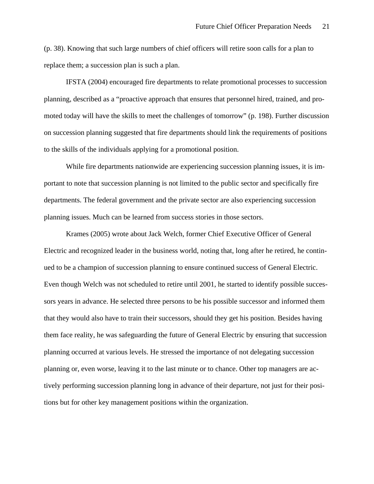(p. 38). Knowing that such large numbers of chief officers will retire soon calls for a plan to replace them; a succession plan is such a plan.

IFSTA (2004) encouraged fire departments to relate promotional processes to succession planning, described as a "proactive approach that ensures that personnel hired, trained, and promoted today will have the skills to meet the challenges of tomorrow" (p. 198). Further discussion on succession planning suggested that fire departments should link the requirements of positions to the skills of the individuals applying for a promotional position.

While fire departments nationwide are experiencing succession planning issues, it is important to note that succession planning is not limited to the public sector and specifically fire departments. The federal government and the private sector are also experiencing succession planning issues. Much can be learned from success stories in those sectors.

Krames (2005) wrote about Jack Welch, former Chief Executive Officer of General Electric and recognized leader in the business world, noting that, long after he retired, he continued to be a champion of succession planning to ensure continued success of General Electric. Even though Welch was not scheduled to retire until 2001, he started to identify possible successors years in advance. He selected three persons to be his possible successor and informed them that they would also have to train their successors, should they get his position. Besides having them face reality, he was safeguarding the future of General Electric by ensuring that succession planning occurred at various levels. He stressed the importance of not delegating succession planning or, even worse, leaving it to the last minute or to chance. Other top managers are actively performing succession planning long in advance of their departure, not just for their positions but for other key management positions within the organization.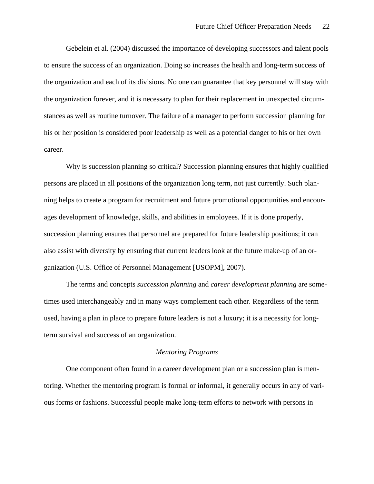Gebelein et al. (2004) discussed the importance of developing successors and talent pools to ensure the success of an organization. Doing so increases the health and long-term success of the organization and each of its divisions. No one can guarantee that key personnel will stay with the organization forever, and it is necessary to plan for their replacement in unexpected circumstances as well as routine turnover. The failure of a manager to perform succession planning for his or her position is considered poor leadership as well as a potential danger to his or her own career.

Why is succession planning so critical? Succession planning ensures that highly qualified persons are placed in all positions of the organization long term, not just currently. Such planning helps to create a program for recruitment and future promotional opportunities and encourages development of knowledge, skills, and abilities in employees. If it is done properly, succession planning ensures that personnel are prepared for future leadership positions; it can also assist with diversity by ensuring that current leaders look at the future make-up of an organization (U.S. Office of Personnel Management [USOPM], 2007).

The terms and concepts *succession planning* and *career development planning* are sometimes used interchangeably and in many ways complement each other. Regardless of the term used, having a plan in place to prepare future leaders is not a luxury; it is a necessity for longterm survival and success of an organization.

#### *Mentoring Programs*

One component often found in a career development plan or a succession plan is mentoring. Whether the mentoring program is formal or informal, it generally occurs in any of various forms or fashions. Successful people make long-term efforts to network with persons in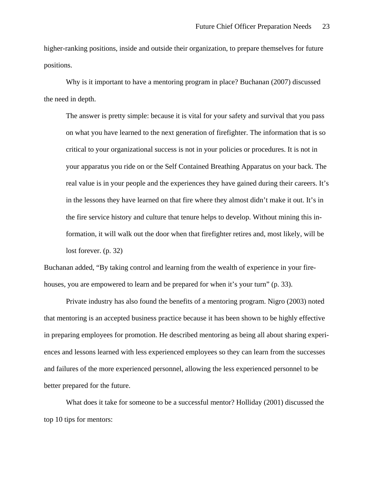higher-ranking positions, inside and outside their organization, to prepare themselves for future positions.

Why is it important to have a mentoring program in place? Buchanan (2007) discussed the need in depth.

The answer is pretty simple: because it is vital for your safety and survival that you pass on what you have learned to the next generation of firefighter. The information that is so critical to your organizational success is not in your policies or procedures. It is not in your apparatus you ride on or the Self Contained Breathing Apparatus on your back. The real value is in your people and the experiences they have gained during their careers. It's in the lessons they have learned on that fire where they almost didn't make it out. It's in the fire service history and culture that tenure helps to develop. Without mining this information, it will walk out the door when that firefighter retires and, most likely, will be lost forever. (p. 32)

Buchanan added, "By taking control and learning from the wealth of experience in your firehouses, you are empowered to learn and be prepared for when it's your turn" (p. 33).

Private industry has also found the benefits of a mentoring program. Nigro (2003) noted that mentoring is an accepted business practice because it has been shown to be highly effective in preparing employees for promotion. He described mentoring as being all about sharing experiences and lessons learned with less experienced employees so they can learn from the successes and failures of the more experienced personnel, allowing the less experienced personnel to be better prepared for the future.

What does it take for someone to be a successful mentor? Holliday (2001) discussed the top 10 tips for mentors: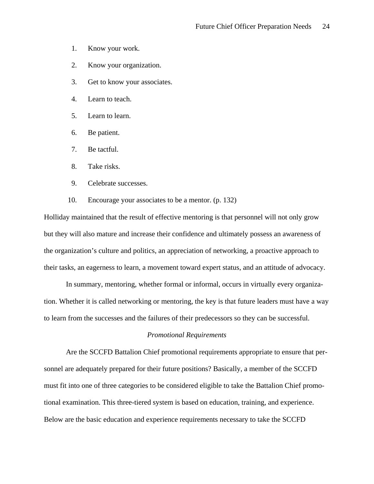- 1. Know your work.
- 2. Know your organization.
- 3. Get to know your associates.
- 4. Learn to teach.
- 5. Learn to learn.
- 6. Be patient.
- 7. Be tactful.
- 8. Take risks.
- 9. Celebrate successes.
- 10. Encourage your associates to be a mentor. (p. 132)

Holliday maintained that the result of effective mentoring is that personnel will not only grow but they will also mature and increase their confidence and ultimately possess an awareness of the organization's culture and politics, an appreciation of networking, a proactive approach to their tasks, an eagerness to learn, a movement toward expert status, and an attitude of advocacy.

In summary, mentoring, whether formal or informal, occurs in virtually every organization. Whether it is called networking or mentoring, the key is that future leaders must have a way to learn from the successes and the failures of their predecessors so they can be successful.

### *Promotional Requirements*

Are the SCCFD Battalion Chief promotional requirements appropriate to ensure that personnel are adequately prepared for their future positions? Basically, a member of the SCCFD must fit into one of three categories to be considered eligible to take the Battalion Chief promotional examination. This three-tiered system is based on education, training, and experience. Below are the basic education and experience requirements necessary to take the SCCFD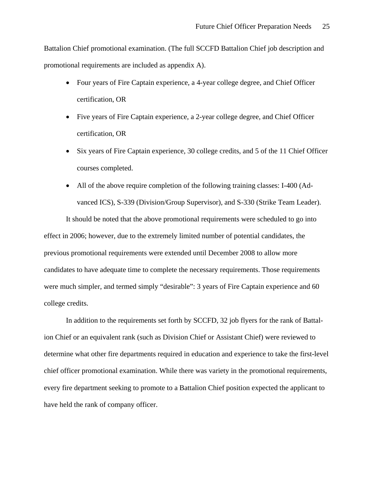Battalion Chief promotional examination. (The full SCCFD Battalion Chief job description and promotional requirements are included as appendix A).

- Four years of Fire Captain experience, a 4-year college degree, and Chief Officer certification, OR
- Five years of Fire Captain experience, a 2-year college degree, and Chief Officer certification, OR
- Six years of Fire Captain experience, 30 college credits, and 5 of the 11 Chief Officer courses completed.
- All of the above require completion of the following training classes: I-400 (Advanced ICS), S-339 (Division/Group Supervisor), and S-330 (Strike Team Leader).

It should be noted that the above promotional requirements were scheduled to go into effect in 2006; however, due to the extremely limited number of potential candidates, the previous promotional requirements were extended until December 2008 to allow more candidates to have adequate time to complete the necessary requirements. Those requirements were much simpler, and termed simply "desirable": 3 years of Fire Captain experience and 60 college credits.

In addition to the requirements set forth by SCCFD, 32 job flyers for the rank of Battalion Chief or an equivalent rank (such as Division Chief or Assistant Chief) were reviewed to determine what other fire departments required in education and experience to take the first-level chief officer promotional examination. While there was variety in the promotional requirements, every fire department seeking to promote to a Battalion Chief position expected the applicant to have held the rank of company officer.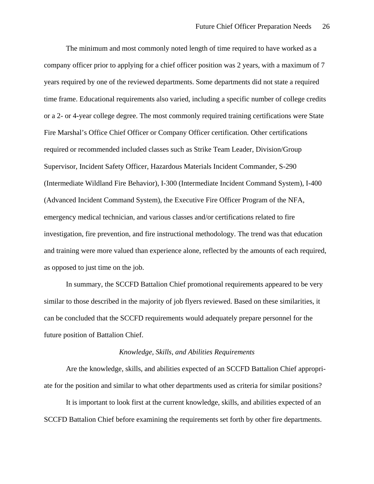The minimum and most commonly noted length of time required to have worked as a company officer prior to applying for a chief officer position was 2 years, with a maximum of 7 years required by one of the reviewed departments. Some departments did not state a required time frame. Educational requirements also varied, including a specific number of college credits or a 2- or 4-year college degree. The most commonly required training certifications were State Fire Marshal's Office Chief Officer or Company Officer certification. Other certifications required or recommended included classes such as Strike Team Leader, Division/Group Supervisor, Incident Safety Officer, Hazardous Materials Incident Commander, S-290 (Intermediate Wildland Fire Behavior), I-300 (Intermediate Incident Command System), I-400 (Advanced Incident Command System), the Executive Fire Officer Program of the NFA, emergency medical technician, and various classes and/or certifications related to fire investigation, fire prevention, and fire instructional methodology. The trend was that education and training were more valued than experience alone, reflected by the amounts of each required, as opposed to just time on the job.

In summary, the SCCFD Battalion Chief promotional requirements appeared to be very similar to those described in the majority of job flyers reviewed. Based on these similarities, it can be concluded that the SCCFD requirements would adequately prepare personnel for the future position of Battalion Chief.

#### *Knowledge, Skills, and Abilities Requirements*

Are the knowledge, skills, and abilities expected of an SCCFD Battalion Chief appropriate for the position and similar to what other departments used as criteria for similar positions?

It is important to look first at the current knowledge, skills, and abilities expected of an SCCFD Battalion Chief before examining the requirements set forth by other fire departments.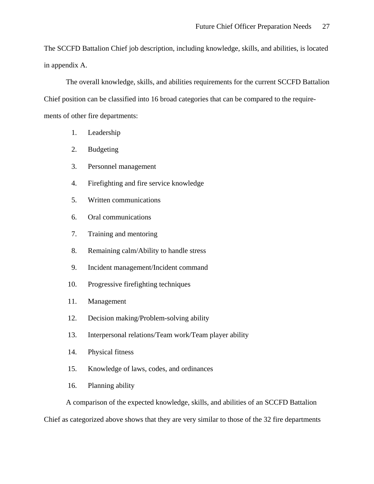The SCCFD Battalion Chief job description, including knowledge, skills, and abilities, is located in appendix A.

The overall knowledge, skills, and abilities requirements for the current SCCFD Battalion Chief position can be classified into 16 broad categories that can be compared to the requirements of other fire departments:

- 1. Leadership
- 2. Budgeting
- 3. Personnel management
- 4. Firefighting and fire service knowledge
- 5. Written communications
- 6. Oral communications
- 7. Training and mentoring
- 8. Remaining calm/Ability to handle stress
- 9. Incident management/Incident command
- 10. Progressive firefighting techniques
- 11. Management
- 12. Decision making/Problem-solving ability
- 13. Interpersonal relations/Team work/Team player ability
- 14. Physical fitness
- 15. Knowledge of laws, codes, and ordinances
- 16. Planning ability

A comparison of the expected knowledge, skills, and abilities of an SCCFD Battalion

Chief as categorized above shows that they are very similar to those of the 32 fire departments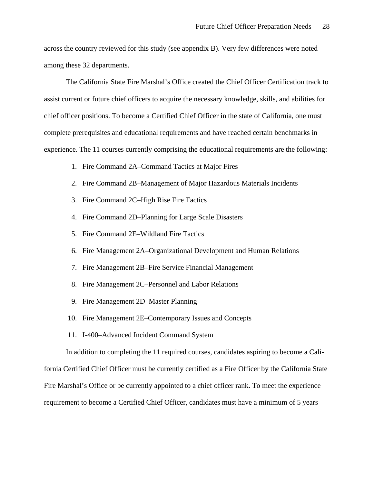across the country reviewed for this study (see appendix B). Very few differences were noted among these 32 departments.

The California State Fire Marshal's Office created the Chief Officer Certification track to assist current or future chief officers to acquire the necessary knowledge, skills, and abilities for chief officer positions. To become a Certified Chief Officer in the state of California, one must complete prerequisites and educational requirements and have reached certain benchmarks in experience. The 11 courses currently comprising the educational requirements are the following:

- 1. Fire Command 2A–Command Tactics at Major Fires
- 2. Fire Command 2B–Management of Major Hazardous Materials Incidents
- 3. Fire Command 2C–High Rise Fire Tactics
- 4. Fire Command 2D–Planning for Large Scale Disasters
- 5. Fire Command 2E–Wildland Fire Tactics
- 6. Fire Management 2A–Organizational Development and Human Relations
- 7. Fire Management 2B–Fire Service Financial Management
- 8. Fire Management 2C–Personnel and Labor Relations
- 9. Fire Management 2D–Master Planning
- 10. Fire Management 2E–Contemporary Issues and Concepts
- 11. I-400–Advanced Incident Command System

In addition to completing the 11 required courses, candidates aspiring to become a Cali-

fornia Certified Chief Officer must be currently certified as a Fire Officer by the California State Fire Marshal's Office or be currently appointed to a chief officer rank. To meet the experience requirement to become a Certified Chief Officer, candidates must have a minimum of 5 years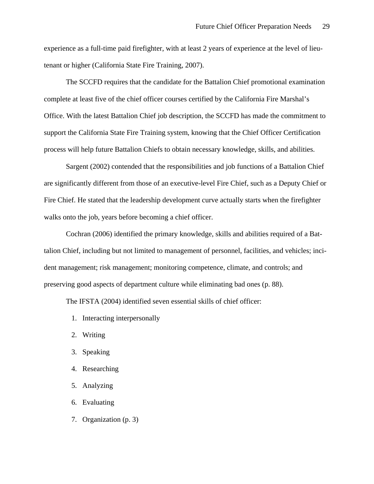experience as a full-time paid firefighter, with at least 2 years of experience at the level of lieutenant or higher (California State Fire Training, 2007).

The SCCFD requires that the candidate for the Battalion Chief promotional examination complete at least five of the chief officer courses certified by the California Fire Marshal's Office. With the latest Battalion Chief job description, the SCCFD has made the commitment to support the California State Fire Training system, knowing that the Chief Officer Certification process will help future Battalion Chiefs to obtain necessary knowledge, skills, and abilities.

Sargent (2002) contended that the responsibilities and job functions of a Battalion Chief are significantly different from those of an executive-level Fire Chief, such as a Deputy Chief or Fire Chief. He stated that the leadership development curve actually starts when the firefighter walks onto the job, years before becoming a chief officer.

Cochran (2006) identified the primary knowledge, skills and abilities required of a Battalion Chief, including but not limited to management of personnel, facilities, and vehicles; incident management; risk management; monitoring competence, climate, and controls; and preserving good aspects of department culture while eliminating bad ones (p. 88).

The IFSTA (2004) identified seven essential skills of chief officer:

- 1. Interacting interpersonally
- 2. Writing
- 3. Speaking
- 4. Researching
- 5. Analyzing
- 6. Evaluating
- 7. Organization (p. 3)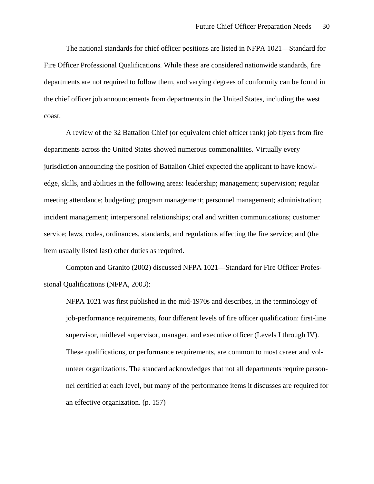The national standards for chief officer positions are listed in NFPA 1021—Standard for Fire Officer Professional Qualifications. While these are considered nationwide standards, fire departments are not required to follow them, and varying degrees of conformity can be found in the chief officer job announcements from departments in the United States, including the west coast.

A review of the 32 Battalion Chief (or equivalent chief officer rank) job flyers from fire departments across the United States showed numerous commonalities. Virtually every jurisdiction announcing the position of Battalion Chief expected the applicant to have knowledge, skills, and abilities in the following areas: leadership; management; supervision; regular meeting attendance; budgeting; program management; personnel management; administration; incident management; interpersonal relationships; oral and written communications; customer service; laws, codes, ordinances, standards, and regulations affecting the fire service; and (the item usually listed last) other duties as required.

Compton and Granito (2002) discussed NFPA 1021—Standard for Fire Officer Professional Qualifications (NFPA, 2003):

NFPA 1021 was first published in the mid-1970s and describes, in the terminology of job-performance requirements, four different levels of fire officer qualification: first-line supervisor, midlevel supervisor, manager, and executive officer (Levels I through IV). These qualifications, or performance requirements, are common to most career and volunteer organizations. The standard acknowledges that not all departments require personnel certified at each level, but many of the performance items it discusses are required for an effective organization. (p. 157)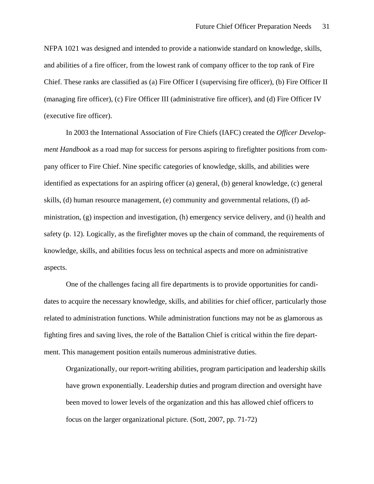NFPA 1021 was designed and intended to provide a nationwide standard on knowledge, skills, and abilities of a fire officer, from the lowest rank of company officer to the top rank of Fire Chief. These ranks are classified as (a) Fire Officer I (supervising fire officer), (b) Fire Officer II (managing fire officer), (c) Fire Officer III (administrative fire officer), and (d) Fire Officer IV (executive fire officer).

In 2003 the International Association of Fire Chiefs (IAFC) created the *Officer Development Handbook* as a road map for success for persons aspiring to firefighter positions from company officer to Fire Chief. Nine specific categories of knowledge, skills, and abilities were identified as expectations for an aspiring officer (a) general, (b) general knowledge, (c) general skills, (d) human resource management, (e) community and governmental relations, (f) administration, (g) inspection and investigation, (h) emergency service delivery, and (i) health and safety (p. 12). Logically, as the firefighter moves up the chain of command, the requirements of knowledge, skills, and abilities focus less on technical aspects and more on administrative aspects.

One of the challenges facing all fire departments is to provide opportunities for candidates to acquire the necessary knowledge, skills, and abilities for chief officer, particularly those related to administration functions. While administration functions may not be as glamorous as fighting fires and saving lives, the role of the Battalion Chief is critical within the fire department. This management position entails numerous administrative duties.

Organizationally, our report-writing abilities, program participation and leadership skills have grown exponentially. Leadership duties and program direction and oversight have been moved to lower levels of the organization and this has allowed chief officers to focus on the larger organizational picture. (Sott, 2007, pp. 71-72)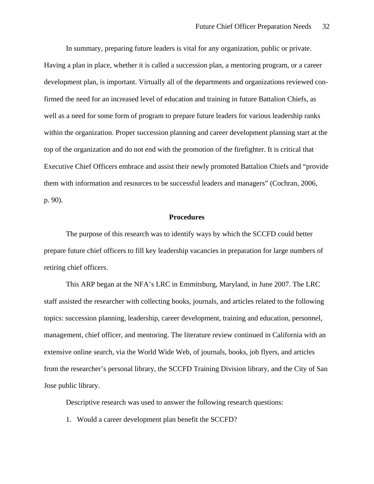In summary, preparing future leaders is vital for any organization, public or private. Having a plan in place, whether it is called a succession plan, a mentoring program, or a career development plan, is important. Virtually all of the departments and organizations reviewed confirmed the need for an increased level of education and training in future Battalion Chiefs, as well as a need for some form of program to prepare future leaders for various leadership ranks within the organization. Proper succession planning and career development planning start at the top of the organization and do not end with the promotion of the firefighter. It is critical that Executive Chief Officers embrace and assist their newly promoted Battalion Chiefs and "provide them with information and resources to be successful leaders and managers" (Cochran, 2006, p. 90).

#### **Procedures**

The purpose of this research was to identify ways by which the SCCFD could better prepare future chief officers to fill key leadership vacancies in preparation for large numbers of retiring chief officers.

This ARP began at the NFA's LRC in Emmitsburg, Maryland, in June 2007. The LRC staff assisted the researcher with collecting books, journals, and articles related to the following topics: succession planning, leadership, career development, training and education, personnel, management, chief officer, and mentoring. The literature review continued in California with an extensive online search, via the World Wide Web, of journals, books, job flyers, and articles from the researcher's personal library, the SCCFD Training Division library, and the City of San Jose public library.

Descriptive research was used to answer the following research questions:

1. Would a career development plan benefit the SCCFD?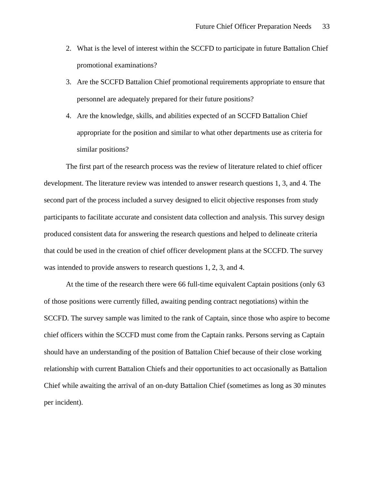- 2. What is the level of interest within the SCCFD to participate in future Battalion Chief promotional examinations?
- 3. Are the SCCFD Battalion Chief promotional requirements appropriate to ensure that personnel are adequately prepared for their future positions?
- 4. Are the knowledge, skills, and abilities expected of an SCCFD Battalion Chief appropriate for the position and similar to what other departments use as criteria for similar positions?

The first part of the research process was the review of literature related to chief officer development. The literature review was intended to answer research questions 1, 3, and 4. The second part of the process included a survey designed to elicit objective responses from study participants to facilitate accurate and consistent data collection and analysis. This survey design produced consistent data for answering the research questions and helped to delineate criteria that could be used in the creation of chief officer development plans at the SCCFD. The survey was intended to provide answers to research questions 1, 2, 3, and 4.

At the time of the research there were 66 full-time equivalent Captain positions (only 63 of those positions were currently filled, awaiting pending contract negotiations) within the SCCFD. The survey sample was limited to the rank of Captain, since those who aspire to become chief officers within the SCCFD must come from the Captain ranks. Persons serving as Captain should have an understanding of the position of Battalion Chief because of their close working relationship with current Battalion Chiefs and their opportunities to act occasionally as Battalion Chief while awaiting the arrival of an on-duty Battalion Chief (sometimes as long as 30 minutes per incident).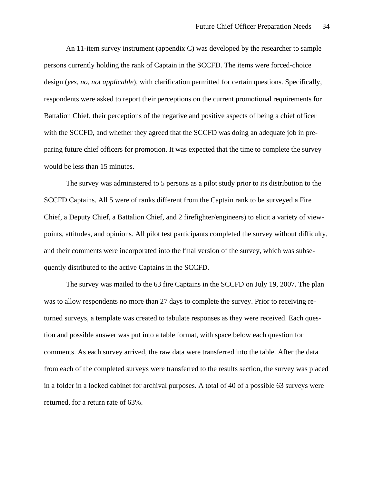An 11-item survey instrument (appendix C) was developed by the researcher to sample persons currently holding the rank of Captain in the SCCFD. The items were forced-choice design (*yes*, *no, not applicable*), with clarification permitted for certain questions. Specifically, respondents were asked to report their perceptions on the current promotional requirements for Battalion Chief, their perceptions of the negative and positive aspects of being a chief officer with the SCCFD, and whether they agreed that the SCCFD was doing an adequate job in preparing future chief officers for promotion. It was expected that the time to complete the survey would be less than 15 minutes.

The survey was administered to 5 persons as a pilot study prior to its distribution to the SCCFD Captains. All 5 were of ranks different from the Captain rank to be surveyed a Fire Chief, a Deputy Chief, a Battalion Chief, and 2 firefighter/engineers) to elicit a variety of viewpoints, attitudes, and opinions. All pilot test participants completed the survey without difficulty, and their comments were incorporated into the final version of the survey, which was subsequently distributed to the active Captains in the SCCFD.

The survey was mailed to the 63 fire Captains in the SCCFD on July 19, 2007. The plan was to allow respondents no more than 27 days to complete the survey. Prior to receiving returned surveys, a template was created to tabulate responses as they were received. Each question and possible answer was put into a table format, with space below each question for comments. As each survey arrived, the raw data were transferred into the table. After the data from each of the completed surveys were transferred to the results section, the survey was placed in a folder in a locked cabinet for archival purposes. A total of 40 of a possible 63 surveys were returned, for a return rate of 63%.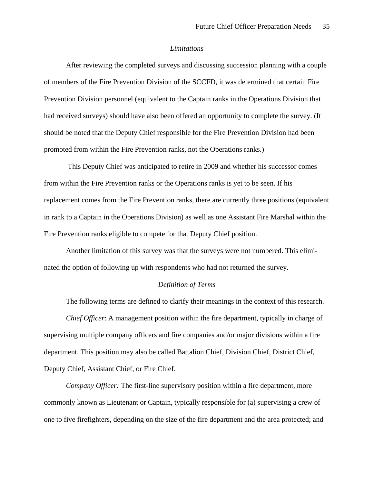#### *Limitations*

After reviewing the completed surveys and discussing succession planning with a couple of members of the Fire Prevention Division of the SCCFD, it was determined that certain Fire Prevention Division personnel (equivalent to the Captain ranks in the Operations Division that had received surveys) should have also been offered an opportunity to complete the survey. (It should be noted that the Deputy Chief responsible for the Fire Prevention Division had been promoted from within the Fire Prevention ranks, not the Operations ranks.)

 This Deputy Chief was anticipated to retire in 2009 and whether his successor comes from within the Fire Prevention ranks or the Operations ranks is yet to be seen. If his replacement comes from the Fire Prevention ranks, there are currently three positions (equivalent in rank to a Captain in the Operations Division) as well as one Assistant Fire Marshal within the Fire Prevention ranks eligible to compete for that Deputy Chief position.

Another limitation of this survey was that the surveys were not numbered. This eliminated the option of following up with respondents who had not returned the survey.

### *Definition of Terms*

The following terms are defined to clarify their meanings in the context of this research. *Chief Officer*: A management position within the fire department, typically in charge of supervising multiple company officers and fire companies and/or major divisions within a fire department. This position may also be called Battalion Chief, Division Chief, District Chief, Deputy Chief, Assistant Chief, or Fire Chief.

*Company Officer:* The first-line supervisory position within a fire department, more commonly known as Lieutenant or Captain, typically responsible for (a) supervising a crew of one to five firefighters, depending on the size of the fire department and the area protected; and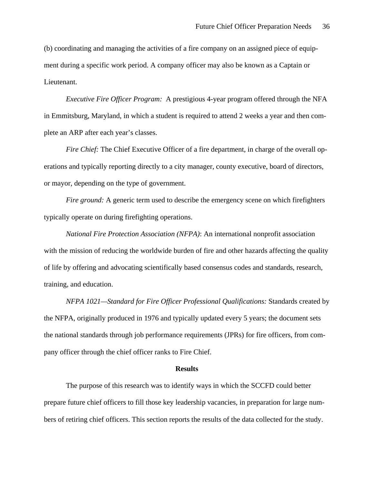(b) coordinating and managing the activities of a fire company on an assigned piece of equipment during a specific work period. A company officer may also be known as a Captain or Lieutenant.

*Executive Fire Officer Program:* A prestigious 4-year program offered through the NFA in Emmitsburg, Maryland, in which a student is required to attend 2 weeks a year and then complete an ARP after each year's classes.

*Fire Chief:* The Chief Executive Officer of a fire department, in charge of the overall operations and typically reporting directly to a city manager, county executive, board of directors, or mayor, depending on the type of government.

*Fire ground:* A generic term used to describe the emergency scene on which firefighters typically operate on during firefighting operations.

*National Fire Protection Association (NFPA)*: An international nonprofit association with the mission of reducing the worldwide burden of fire and other hazards affecting the quality of life by offering and advocating scientifically based consensus codes and standards, research, training, and education.

*NFPA 1021—Standard for Fire Officer Professional Qualifications:* Standards created by the NFPA, originally produced in 1976 and typically updated every 5 years; the document sets the national standards through job performance requirements (JPRs) for fire officers, from company officer through the chief officer ranks to Fire Chief.

#### **Results**

The purpose of this research was to identify ways in which the SCCFD could better prepare future chief officers to fill those key leadership vacancies, in preparation for large numbers of retiring chief officers. This section reports the results of the data collected for the study.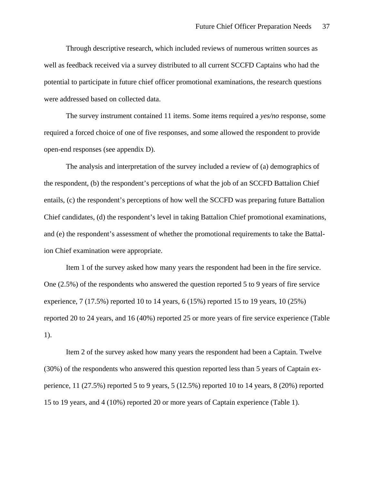Through descriptive research, which included reviews of numerous written sources as well as feedback received via a survey distributed to all current SCCFD Captains who had the potential to participate in future chief officer promotional examinations, the research questions were addressed based on collected data.

The survey instrument contained 11 items. Some items required a *yes/no* response, some required a forced choice of one of five responses, and some allowed the respondent to provide open-end responses (see appendix D).

The analysis and interpretation of the survey included a review of (a) demographics of the respondent, (b) the respondent's perceptions of what the job of an SCCFD Battalion Chief entails, (c) the respondent's perceptions of how well the SCCFD was preparing future Battalion Chief candidates, (d) the respondent's level in taking Battalion Chief promotional examinations, and (e) the respondent's assessment of whether the promotional requirements to take the Battalion Chief examination were appropriate.

Item 1 of the survey asked how many years the respondent had been in the fire service. One (2.5%) of the respondents who answered the question reported 5 to 9 years of fire service experience,  $7(17.5\%)$  reported 10 to 14 years,  $6(15\%)$  reported 15 to 19 years, 10 (25%) reported 20 to 24 years, and 16 (40%) reported 25 or more years of fire service experience (Table 1).

Item 2 of the survey asked how many years the respondent had been a Captain. Twelve (30%) of the respondents who answered this question reported less than 5 years of Captain experience,  $11$  (27.5%) reported 5 to 9 years,  $5$  (12.5%) reported 10 to 14 years,  $8$  (20%) reported 15 to 19 years, and 4 (10%) reported 20 or more years of Captain experience (Table 1).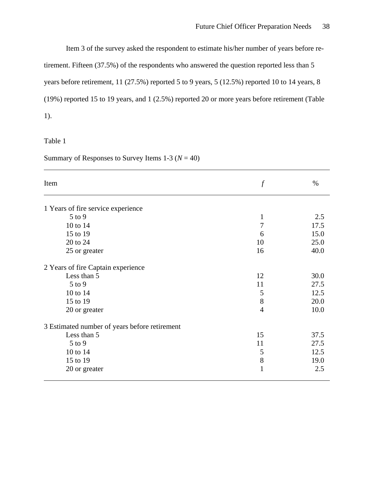Item 3 of the survey asked the respondent to estimate his/her number of years before re-

tirement. Fifteen (37.5%) of the respondents who answered the question reported less than 5 years before retirement, 11 (27.5%) reported 5 to 9 years, 5 (12.5%) reported 10 to 14 years, 8 (19%) reported 15 to 19 years, and 1 (2.5%) reported 20 or more years before retirement (Table 1).

Table 1

Summary of Responses to Survey Items  $1-3$  ( $N = 40$ )

| Item                                          |                | $\%$ |
|-----------------------------------------------|----------------|------|
| 1 Years of fire service experience            |                |      |
| $5$ to $9$                                    | $\mathbf{1}$   | 2.5  |
| 10 to 14                                      | 7              | 17.5 |
| 15 to 19                                      | 6              | 15.0 |
| 20 to 24                                      | 10             | 25.0 |
| 25 or greater                                 | 16             | 40.0 |
| 2 Years of fire Captain experience            |                |      |
| Less than 5                                   | 12             | 30.0 |
| $5$ to 9                                      | 11             | 27.5 |
| 10 to 14                                      | 5              | 12.5 |
| 15 to 19                                      | 8              | 20.0 |
| 20 or greater                                 | $\overline{4}$ | 10.0 |
| 3 Estimated number of years before retirement |                |      |
| Less than 5                                   | 15             | 37.5 |
| $5$ to $9$                                    | 11             | 27.5 |
| 10 to 14                                      | 5              | 12.5 |
| 15 to 19                                      | $8\,$          | 19.0 |
| 20 or greater                                 | $\mathbf{1}$   | 2.5  |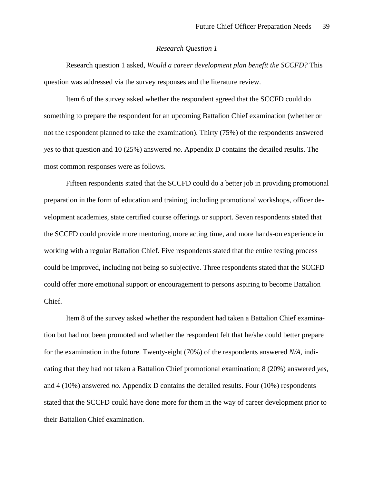#### *Research Question 1*

Research question 1 asked, *Would a career development plan benefit the SCCFD?* This question was addressed via the survey responses and the literature review.

Item 6 of the survey asked whether the respondent agreed that the SCCFD could do something to prepare the respondent for an upcoming Battalion Chief examination (whether or not the respondent planned to take the examination). Thirty (75%) of the respondents answered *yes* to that question and 10 (25%) answered *no*. Appendix D contains the detailed results. The most common responses were as follows.

Fifteen respondents stated that the SCCFD could do a better job in providing promotional preparation in the form of education and training, including promotional workshops, officer development academies, state certified course offerings or support. Seven respondents stated that the SCCFD could provide more mentoring, more acting time, and more hands-on experience in working with a regular Battalion Chief. Five respondents stated that the entire testing process could be improved, including not being so subjective. Three respondents stated that the SCCFD could offer more emotional support or encouragement to persons aspiring to become Battalion Chief.

Item 8 of the survey asked whether the respondent had taken a Battalion Chief examination but had not been promoted and whether the respondent felt that he/she could better prepare for the examination in the future. Twenty-eight (70%) of the respondents answered *N/A,* indicating that they had not taken a Battalion Chief promotional examination; 8 (20%) answered *yes*, and 4 (10%) answered *no*. Appendix D contains the detailed results. Four (10%) respondents stated that the SCCFD could have done more for them in the way of career development prior to their Battalion Chief examination.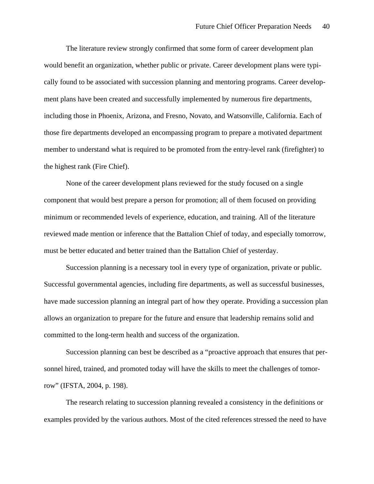The literature review strongly confirmed that some form of career development plan would benefit an organization, whether public or private. Career development plans were typically found to be associated with succession planning and mentoring programs. Career development plans have been created and successfully implemented by numerous fire departments, including those in Phoenix, Arizona, and Fresno, Novato, and Watsonville, California. Each of those fire departments developed an encompassing program to prepare a motivated department member to understand what is required to be promoted from the entry-level rank (firefighter) to the highest rank (Fire Chief).

None of the career development plans reviewed for the study focused on a single component that would best prepare a person for promotion; all of them focused on providing minimum or recommended levels of experience, education, and training. All of the literature reviewed made mention or inference that the Battalion Chief of today, and especially tomorrow, must be better educated and better trained than the Battalion Chief of yesterday.

Succession planning is a necessary tool in every type of organization, private or public. Successful governmental agencies, including fire departments, as well as successful businesses, have made succession planning an integral part of how they operate. Providing a succession plan allows an organization to prepare for the future and ensure that leadership remains solid and committed to the long-term health and success of the organization.

Succession planning can best be described as a "proactive approach that ensures that personnel hired, trained, and promoted today will have the skills to meet the challenges of tomorrow" (IFSTA, 2004, p. 198).

The research relating to succession planning revealed a consistency in the definitions or examples provided by the various authors. Most of the cited references stressed the need to have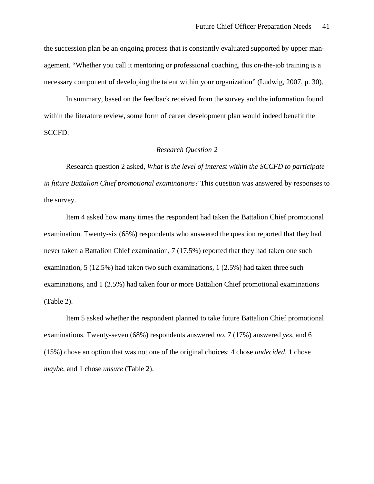the succession plan be an ongoing process that is constantly evaluated supported by upper management. "Whether you call it mentoring or professional coaching, this on-the-job training is a necessary component of developing the talent within your organization" (Ludwig, 2007, p. 30).

In summary, based on the feedback received from the survey and the information found within the literature review, some form of career development plan would indeed benefit the SCCFD.

#### *Research Question 2*

Research question 2 asked, *What is the level of interest within the SCCFD to participate in future Battalion Chief promotional examinations?* This question was answered by responses to the survey.

Item 4 asked how many times the respondent had taken the Battalion Chief promotional examination. Twenty-six (65%) respondents who answered the question reported that they had never taken a Battalion Chief examination, 7 (17.5%) reported that they had taken one such examination, 5 (12.5%) had taken two such examinations, 1 (2.5%) had taken three such examinations, and 1 (2.5%) had taken four or more Battalion Chief promotional examinations (Table 2).

Item 5 asked whether the respondent planned to take future Battalion Chief promotional examinations. Twenty-seven (68%) respondents answered *no*, 7 (17%) answered *yes*, and 6 (15%) chose an option that was not one of the original choices: 4 chose *undecided*, 1 chose *maybe*, and 1 chose *unsure* (Table 2).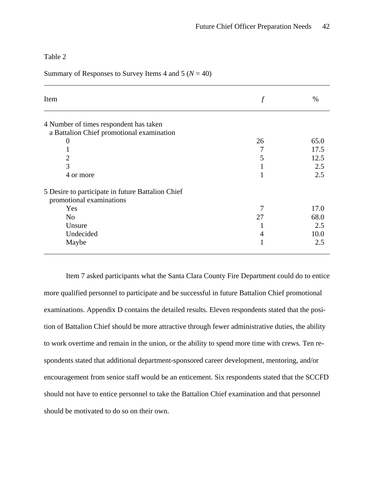Table 2

Summary of Responses to Survey Items 4 and 5  $(N = 40)$ 

| Item                                              |    | %    |
|---------------------------------------------------|----|------|
| 4 Number of times respondent has taken            |    |      |
| a Battalion Chief promotional examination         |    |      |
| $\mathbf{0}$                                      | 26 | 65.0 |
|                                                   | 7  | 17.5 |
| 2                                                 | 5  | 12.5 |
| 3                                                 |    | 2.5  |
| 4 or more                                         |    | 2.5  |
| 5 Desire to participate in future Battalion Chief |    |      |
| promotional examinations                          |    |      |
| Yes                                               |    | 17.0 |
| N <sub>0</sub>                                    | 27 | 68.0 |
| Unsure                                            |    | 2.5  |
| Undecided                                         | 4  | 10.0 |
| Maybe                                             |    | 2.5  |

Item 7 asked participants what the Santa Clara County Fire Department could do to entice more qualified personnel to participate and be successful in future Battalion Chief promotional examinations. Appendix D contains the detailed results. Eleven respondents stated that the position of Battalion Chief should be more attractive through fewer administrative duties, the ability to work overtime and remain in the union, or the ability to spend more time with crews. Ten respondents stated that additional department-sponsored career development, mentoring, and/or encouragement from senior staff would be an enticement. Six respondents stated that the SCCFD should not have to entice personnel to take the Battalion Chief examination and that personnel should be motivated to do so on their own.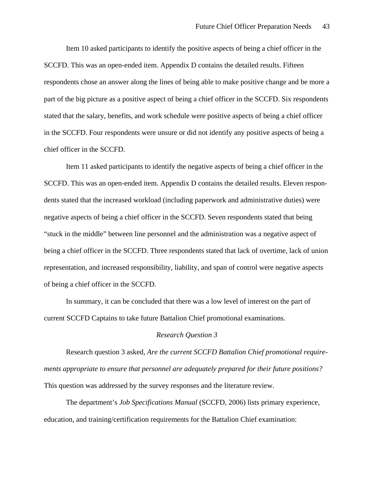Item 10 asked participants to identify the positive aspects of being a chief officer in the SCCFD. This was an open-ended item. Appendix D contains the detailed results. Fifteen respondents chose an answer along the lines of being able to make positive change and be more a part of the big picture as a positive aspect of being a chief officer in the SCCFD. Six respondents stated that the salary, benefits, and work schedule were positive aspects of being a chief officer in the SCCFD. Four respondents were unsure or did not identify any positive aspects of being a chief officer in the SCCFD.

Item 11 asked participants to identify the negative aspects of being a chief officer in the SCCFD. This was an open-ended item. Appendix D contains the detailed results. Eleven respondents stated that the increased workload (including paperwork and administrative duties) were negative aspects of being a chief officer in the SCCFD. Seven respondents stated that being "stuck in the middle" between line personnel and the administration was a negative aspect of being a chief officer in the SCCFD. Three respondents stated that lack of overtime, lack of union representation, and increased responsibility, liability, and span of control were negative aspects of being a chief officer in the SCCFD.

In summary, it can be concluded that there was a low level of interest on the part of current SCCFD Captains to take future Battalion Chief promotional examinations.

#### *Research Question 3*

Research question 3 asked, *Are the current SCCFD Battalion Chief promotional requirements appropriate to ensure that personnel are adequately prepared for their future positions?* This question was addressed by the survey responses and the literature review.

The department's *Job Specifications Manual* (SCCFD, 2006) lists primary experience, education, and training/certification requirements for the Battalion Chief examination: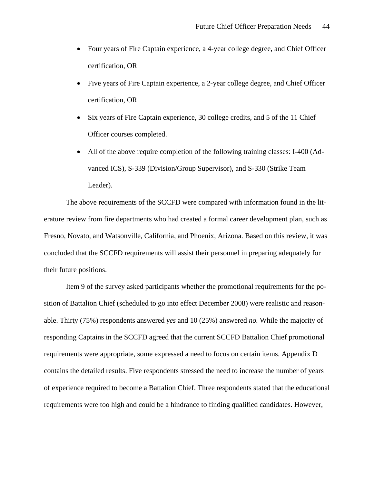- Four years of Fire Captain experience, a 4-year college degree, and Chief Officer certification, OR
- Five years of Fire Captain experience, a 2-year college degree, and Chief Officer certification, OR
- Six years of Fire Captain experience, 30 college credits, and 5 of the 11 Chief Officer courses completed.
- All of the above require completion of the following training classes: I-400 (Advanced ICS), S-339 (Division/Group Supervisor), and S-330 (Strike Team Leader).

The above requirements of the SCCFD were compared with information found in the literature review from fire departments who had created a formal career development plan, such as Fresno, Novato, and Watsonville, California, and Phoenix, Arizona. Based on this review, it was concluded that the SCCFD requirements will assist their personnel in preparing adequately for their future positions.

Item 9 of the survey asked participants whether the promotional requirements for the position of Battalion Chief (scheduled to go into effect December 2008) were realistic and reasonable. Thirty (75%) respondents answered *yes* and 10 (25%) answered *no.* While the majority of responding Captains in the SCCFD agreed that the current SCCFD Battalion Chief promotional requirements were appropriate, some expressed a need to focus on certain items. Appendix D contains the detailed results. Five respondents stressed the need to increase the number of years of experience required to become a Battalion Chief. Three respondents stated that the educational requirements were too high and could be a hindrance to finding qualified candidates. However,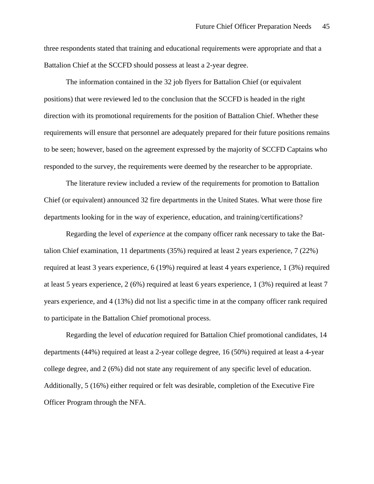three respondents stated that training and educational requirements were appropriate and that a Battalion Chief at the SCCFD should possess at least a 2-year degree.

The information contained in the 32 job flyers for Battalion Chief (or equivalent positions) that were reviewed led to the conclusion that the SCCFD is headed in the right direction with its promotional requirements for the position of Battalion Chief. Whether these requirements will ensure that personnel are adequately prepared for their future positions remains to be seen; however, based on the agreement expressed by the majority of SCCFD Captains who responded to the survey, the requirements were deemed by the researcher to be appropriate.

The literature review included a review of the requirements for promotion to Battalion Chief (or equivalent) announced 32 fire departments in the United States. What were those fire departments looking for in the way of experience, education, and training/certifications?

Regarding the level of *experience* at the company officer rank necessary to take the Battalion Chief examination, 11 departments (35%) required at least 2 years experience, 7 (22%) required at least 3 years experience, 6 (19%) required at least 4 years experience, 1 (3%) required at least 5 years experience, 2 (6%) required at least 6 years experience, 1 (3%) required at least 7 years experience, and 4 (13%) did not list a specific time in at the company officer rank required to participate in the Battalion Chief promotional process.

Regarding the level of *education* required for Battalion Chief promotional candidates, 14 departments (44%) required at least a 2-year college degree, 16 (50%) required at least a 4-year college degree, and 2 (6%) did not state any requirement of any specific level of education. Additionally, 5 (16%) either required or felt was desirable, completion of the Executive Fire Officer Program through the NFA.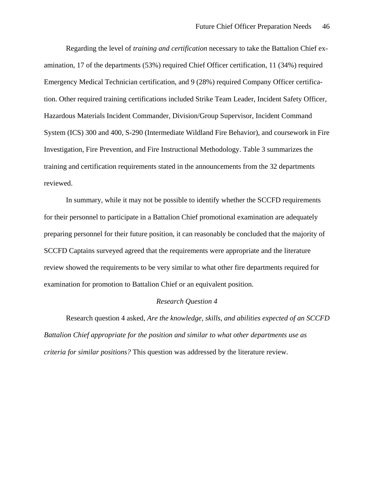Regarding the level of *training and certification* necessary to take the Battalion Chief examination, 17 of the departments (53%) required Chief Officer certification, 11 (34%) required Emergency Medical Technician certification, and 9 (28%) required Company Officer certification. Other required training certifications included Strike Team Leader, Incident Safety Officer, Hazardous Materials Incident Commander, Division/Group Supervisor, Incident Command System (ICS) 300 and 400, S-290 (Intermediate Wildland Fire Behavior), and coursework in Fire Investigation, Fire Prevention, and Fire Instructional Methodology. Table 3 summarizes the training and certification requirements stated in the announcements from the 32 departments reviewed.

In summary, while it may not be possible to identify whether the SCCFD requirements for their personnel to participate in a Battalion Chief promotional examination are adequately preparing personnel for their future position, it can reasonably be concluded that the majority of SCCFD Captains surveyed agreed that the requirements were appropriate and the literature review showed the requirements to be very similar to what other fire departments required for examination for promotion to Battalion Chief or an equivalent position.

#### *Research Question 4*

Research question 4 asked, *Are the knowledge, skills, and abilities expected of an SCCFD Battalion Chief appropriate for the position and similar to what other departments use as criteria for similar positions?* This question was addressed by the literature review.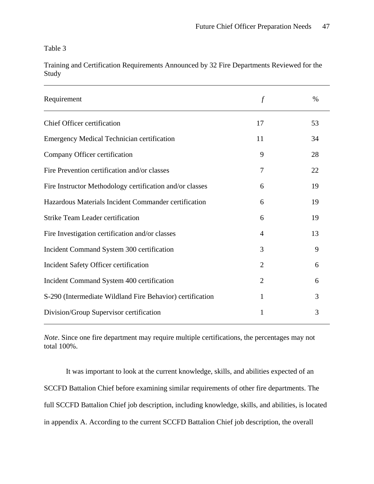Table 3

Training and Certification Requirements Announced by 32 Fire Departments Reviewed for the Study

| Requirement                                               | $\int$         | $\%$ |
|-----------------------------------------------------------|----------------|------|
| Chief Officer certification                               | 17             | 53   |
| <b>Emergency Medical Technician certification</b>         | 11             | 34   |
| Company Officer certification                             | 9              | 28   |
| Fire Prevention certification and/or classes              | 7              | 22   |
| Fire Instructor Methodology certification and/or classes  | 6              | 19   |
| Hazardous Materials Incident Commander certification      | 6              | 19   |
| <b>Strike Team Leader certification</b>                   | 6              | 19   |
| Fire Investigation certification and/or classes           | 4              | 13   |
| Incident Command System 300 certification                 | 3              | 9    |
| Incident Safety Officer certification                     | $\overline{2}$ | 6    |
| Incident Command System 400 certification                 | $\overline{2}$ | 6    |
| S-290 (Intermediate Wildland Fire Behavior) certification | 1              | 3    |
| Division/Group Supervisor certification                   | 1              | 3    |

*Note*. Since one fire department may require multiple certifications, the percentages may not total 100%.

It was important to look at the current knowledge, skills, and abilities expected of an SCCFD Battalion Chief before examining similar requirements of other fire departments. The full SCCFD Battalion Chief job description, including knowledge, skills, and abilities, is located in appendix A. According to the current SCCFD Battalion Chief job description, the overall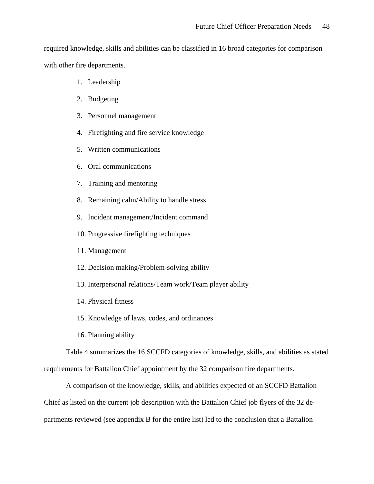required knowledge, skills and abilities can be classified in 16 broad categories for comparison with other fire departments.

- 1. Leadership
- 2. Budgeting
- 3. Personnel management
- 4. Firefighting and fire service knowledge
- 5. Written communications
- 6. Oral communications
- 7. Training and mentoring
- 8. Remaining calm/Ability to handle stress
- 9. Incident management/Incident command
- 10. Progressive firefighting techniques
- 11. Management
- 12. Decision making/Problem-solving ability
- 13. Interpersonal relations/Team work/Team player ability
- 14. Physical fitness
- 15. Knowledge of laws, codes, and ordinances
- 16. Planning ability

Table 4 summarizes the 16 SCCFD categories of knowledge, skills, and abilities as stated requirements for Battalion Chief appointment by the 32 comparison fire departments.

A comparison of the knowledge, skills, and abilities expected of an SCCFD Battalion Chief as listed on the current job description with the Battalion Chief job flyers of the 32 departments reviewed (see appendix B for the entire list) led to the conclusion that a Battalion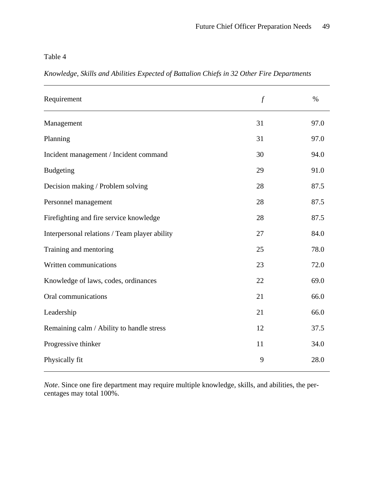Table 4

*Knowledge, Skills and Abilities Expected of Battalion Chiefs in 32 Other Fire Departments* 

| Requirement                                   | $\int$ | $\%$ |
|-----------------------------------------------|--------|------|
| Management                                    | 31     | 97.0 |
| Planning                                      | 31     | 97.0 |
| Incident management / Incident command        | 30     | 94.0 |
| <b>Budgeting</b>                              | 29     | 91.0 |
| Decision making / Problem solving             | 28     | 87.5 |
| Personnel management                          | 28     | 87.5 |
| Firefighting and fire service knowledge       | 28     | 87.5 |
| Interpersonal relations / Team player ability | 27     | 84.0 |
| Training and mentoring                        | 25     | 78.0 |
| Written communications                        | 23     | 72.0 |
| Knowledge of laws, codes, ordinances          | 22     | 69.0 |
| Oral communications                           | 21     | 66.0 |
| Leadership                                    | 21     | 66.0 |
| Remaining calm / Ability to handle stress     | 12     | 37.5 |
| Progressive thinker                           | 11     | 34.0 |
| Physically fit                                | 9      | 28.0 |

*Note*. Since one fire department may require multiple knowledge, skills, and abilities, the percentages may total 100%.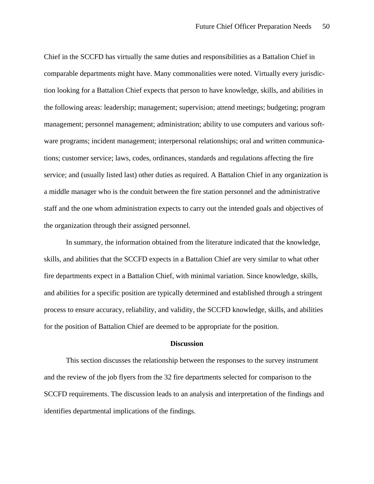Chief in the SCCFD has virtually the same duties and responsibilities as a Battalion Chief in comparable departments might have. Many commonalities were noted. Virtually every jurisdiction looking for a Battalion Chief expects that person to have knowledge, skills, and abilities in the following areas: leadership; management; supervision; attend meetings; budgeting; program management; personnel management; administration; ability to use computers and various software programs; incident management; interpersonal relationships; oral and written communications; customer service; laws, codes, ordinances, standards and regulations affecting the fire service; and (usually listed last) other duties as required. A Battalion Chief in any organization is a middle manager who is the conduit between the fire station personnel and the administrative staff and the one whom administration expects to carry out the intended goals and objectives of the organization through their assigned personnel.

In summary, the information obtained from the literature indicated that the knowledge, skills, and abilities that the SCCFD expects in a Battalion Chief are very similar to what other fire departments expect in a Battalion Chief, with minimal variation. Since knowledge, skills, and abilities for a specific position are typically determined and established through a stringent process to ensure accuracy, reliability, and validity, the SCCFD knowledge, skills, and abilities for the position of Battalion Chief are deemed to be appropriate for the position.

#### **Discussion**

This section discusses the relationship between the responses to the survey instrument and the review of the job flyers from the 32 fire departments selected for comparison to the SCCFD requirements. The discussion leads to an analysis and interpretation of the findings and identifies departmental implications of the findings.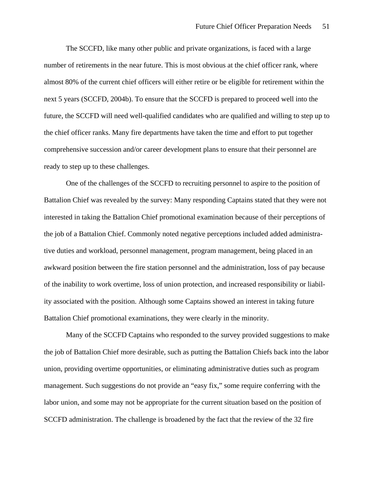The SCCFD, like many other public and private organizations, is faced with a large number of retirements in the near future. This is most obvious at the chief officer rank, where almost 80% of the current chief officers will either retire or be eligible for retirement within the next 5 years (SCCFD, 2004b). To ensure that the SCCFD is prepared to proceed well into the future, the SCCFD will need well-qualified candidates who are qualified and willing to step up to the chief officer ranks. Many fire departments have taken the time and effort to put together comprehensive succession and/or career development plans to ensure that their personnel are ready to step up to these challenges.

One of the challenges of the SCCFD to recruiting personnel to aspire to the position of Battalion Chief was revealed by the survey: Many responding Captains stated that they were not interested in taking the Battalion Chief promotional examination because of their perceptions of the job of a Battalion Chief. Commonly noted negative perceptions included added administrative duties and workload, personnel management, program management, being placed in an awkward position between the fire station personnel and the administration, loss of pay because of the inability to work overtime, loss of union protection, and increased responsibility or liability associated with the position. Although some Captains showed an interest in taking future Battalion Chief promotional examinations, they were clearly in the minority.

Many of the SCCFD Captains who responded to the survey provided suggestions to make the job of Battalion Chief more desirable, such as putting the Battalion Chiefs back into the labor union, providing overtime opportunities, or eliminating administrative duties such as program management. Such suggestions do not provide an "easy fix," some require conferring with the labor union, and some may not be appropriate for the current situation based on the position of SCCFD administration. The challenge is broadened by the fact that the review of the 32 fire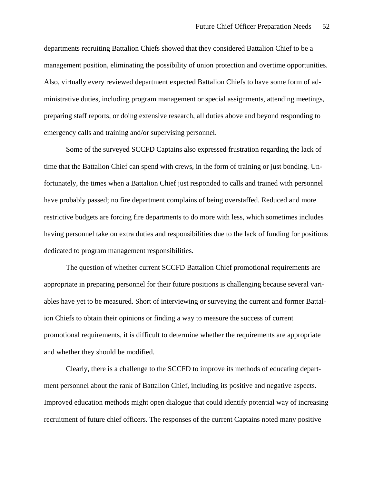departments recruiting Battalion Chiefs showed that they considered Battalion Chief to be a management position, eliminating the possibility of union protection and overtime opportunities. Also, virtually every reviewed department expected Battalion Chiefs to have some form of administrative duties, including program management or special assignments, attending meetings, preparing staff reports, or doing extensive research, all duties above and beyond responding to emergency calls and training and/or supervising personnel.

Some of the surveyed SCCFD Captains also expressed frustration regarding the lack of time that the Battalion Chief can spend with crews, in the form of training or just bonding. Unfortunately, the times when a Battalion Chief just responded to calls and trained with personnel have probably passed; no fire department complains of being overstaffed. Reduced and more restrictive budgets are forcing fire departments to do more with less, which sometimes includes having personnel take on extra duties and responsibilities due to the lack of funding for positions dedicated to program management responsibilities.

The question of whether current SCCFD Battalion Chief promotional requirements are appropriate in preparing personnel for their future positions is challenging because several variables have yet to be measured. Short of interviewing or surveying the current and former Battalion Chiefs to obtain their opinions or finding a way to measure the success of current promotional requirements, it is difficult to determine whether the requirements are appropriate and whether they should be modified.

Clearly, there is a challenge to the SCCFD to improve its methods of educating department personnel about the rank of Battalion Chief, including its positive and negative aspects. Improved education methods might open dialogue that could identify potential way of increasing recruitment of future chief officers. The responses of the current Captains noted many positive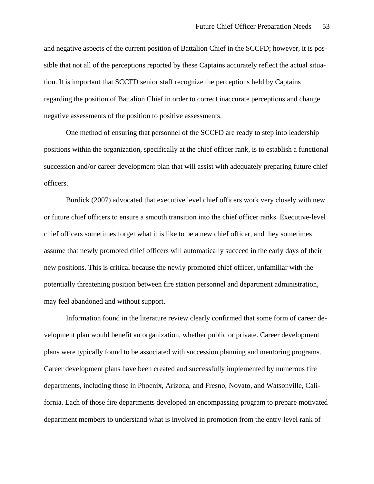and negative aspects of the current position of Battalion Chief in the SCCFD; however, it is possible that not all of the perceptions reported by these Captains accurately reflect the actual situation. It is important that SCCFD senior staff recognize the perceptions held by Captains regarding the position of Battalion Chief in order to correct inaccurate perceptions and change negative assessments of the position to positive assessments.

One method of ensuring that personnel of the SCCFD are ready to step into leadership positions within the organization, specifically at the chief officer rank, is to establish a functional succession and/or career development plan that will assist with adequately preparing future chief officers.

Burdick (2007) advocated that executive level chief officers work very closely with new or future chief officers to ensure a smooth transition into the chief officer ranks. Executive-level chief officers sometimes forget what it is like to be a new chief officer, and they sometimes assume that newly promoted chief officers will automatically succeed in the early days of their new positions. This is critical because the newly promoted chief officer, unfamiliar with the potentially threatening position between fire station personnel and department administration, may feel abandoned and without support.

Information found in the literature review clearly confirmed that some form of career development plan would benefit an organization, whether public or private. Career development plans were typically found to be associated with succession planning and mentoring programs. Career development plans have been created and successfully implemented by numerous fire departments, including those in Phoenix, Arizona, and Fresno, Novato, and Watsonville, California. Each of those fire departments developed an encompassing program to prepare motivated department members to understand what is involved in promotion from the entry-level rank of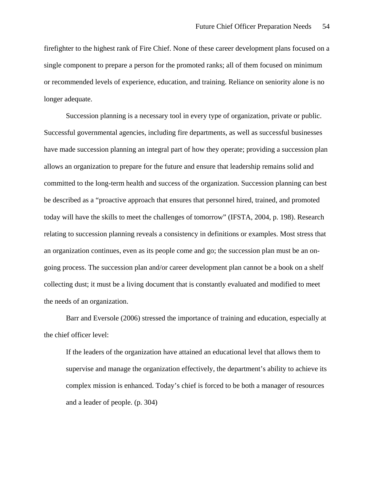firefighter to the highest rank of Fire Chief. None of these career development plans focused on a single component to prepare a person for the promoted ranks; all of them focused on minimum or recommended levels of experience, education, and training. Reliance on seniority alone is no longer adequate.

Succession planning is a necessary tool in every type of organization, private or public. Successful governmental agencies, including fire departments, as well as successful businesses have made succession planning an integral part of how they operate; providing a succession plan allows an organization to prepare for the future and ensure that leadership remains solid and committed to the long-term health and success of the organization. Succession planning can best be described as a "proactive approach that ensures that personnel hired, trained, and promoted today will have the skills to meet the challenges of tomorrow" (IFSTA, 2004, p. 198). Research relating to succession planning reveals a consistency in definitions or examples. Most stress that an organization continues, even as its people come and go; the succession plan must be an ongoing process. The succession plan and/or career development plan cannot be a book on a shelf collecting dust; it must be a living document that is constantly evaluated and modified to meet the needs of an organization.

Barr and Eversole (2006) stressed the importance of training and education, especially at the chief officer level:

If the leaders of the organization have attained an educational level that allows them to supervise and manage the organization effectively, the department's ability to achieve its complex mission is enhanced. Today's chief is forced to be both a manager of resources and a leader of people. (p. 304)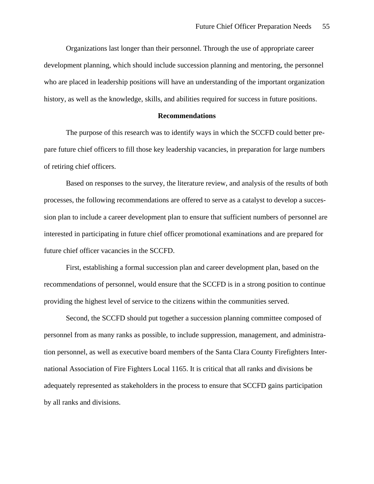Organizations last longer than their personnel. Through the use of appropriate career development planning, which should include succession planning and mentoring, the personnel who are placed in leadership positions will have an understanding of the important organization history, as well as the knowledge, skills, and abilities required for success in future positions.

#### **Recommendations**

The purpose of this research was to identify ways in which the SCCFD could better prepare future chief officers to fill those key leadership vacancies, in preparation for large numbers of retiring chief officers.

Based on responses to the survey, the literature review, and analysis of the results of both processes, the following recommendations are offered to serve as a catalyst to develop a succession plan to include a career development plan to ensure that sufficient numbers of personnel are interested in participating in future chief officer promotional examinations and are prepared for future chief officer vacancies in the SCCFD.

First, establishing a formal succession plan and career development plan, based on the recommendations of personnel, would ensure that the SCCFD is in a strong position to continue providing the highest level of service to the citizens within the communities served.

Second, the SCCFD should put together a succession planning committee composed of personnel from as many ranks as possible, to include suppression, management, and administration personnel, as well as executive board members of the Santa Clara County Firefighters International Association of Fire Fighters Local 1165. It is critical that all ranks and divisions be adequately represented as stakeholders in the process to ensure that SCCFD gains participation by all ranks and divisions.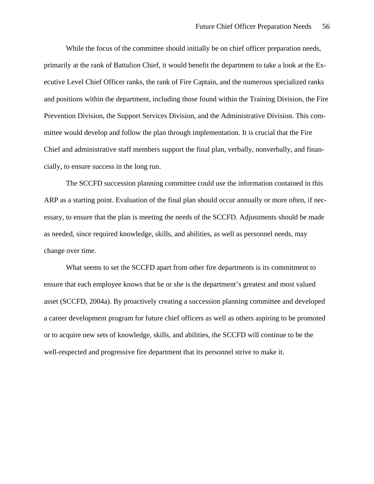While the focus of the committee should initially be on chief officer preparation needs, primarily at the rank of Battalion Chief, it would benefit the department to take a look at the Executive Level Chief Officer ranks, the rank of Fire Captain, and the numerous specialized ranks and positions within the department, including those found within the Training Division, the Fire Prevention Division, the Support Services Division, and the Administrative Division. This committee would develop and follow the plan through implementation. It is crucial that the Fire Chief and administrative staff members support the final plan, verbally, nonverbally, and financially, to ensure success in the long run.

The SCCFD succession planning committee could use the information contained in this ARP as a starting point. Evaluation of the final plan should occur annually or more often, if necessary, to ensure that the plan is meeting the needs of the SCCFD. Adjustments should be made as needed, since required knowledge, skills, and abilities, as well as personnel needs, may change over time.

What seems to set the SCCFD apart from other fire departments is its commitment to ensure that each employee knows that he or she is the department's greatest and most valued asset (SCCFD, 2004a). By proactively creating a succession planning committee and developed a career development program for future chief officers as well as others aspiring to be promoted or to acquire new sets of knowledge, skills, and abilities, the SCCFD will continue to be the well-respected and progressive fire department that its personnel strive to make it.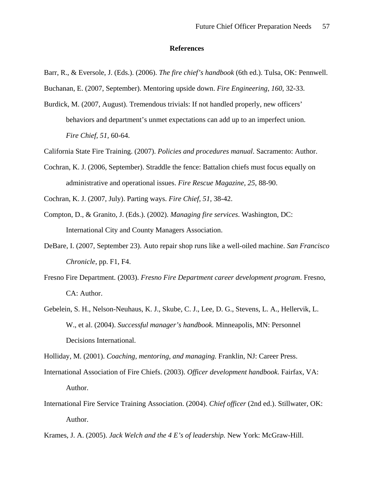#### **References**

Barr, R., & Eversole, J. (Eds.). (2006). *The fire chief's handbook* (6th ed.). Tulsa, OK: Pennwell.

Buchanan, E. (2007, September). Mentoring upside down. *Fire Engineering*, *160*, 32-33.

- Burdick, M. (2007, August). Tremendous trivials: If not handled properly, new officers' behaviors and department's unmet expectations can add up to an imperfect union. *Fire Chief, 51,* 60-64.
- California State Fire Training. (2007). *Policies and procedures manual*. Sacramento: Author.
- Cochran, K. J. (2006, September). Straddle the fence: Battalion chiefs must focus equally on administrative and operational issues. *Fire Rescue Magazine, 25*, 88-90.
- Cochran, K. J. (2007, July). Parting ways. *Fire Chief, 51,* 38-42.
- Compton, D., & Granito, J. (Eds.). (2002). *Managing fire services*. Washington, DC: International City and County Managers Association.
- DeBare, I. (2007, September 23). Auto repair shop runs like a well-oiled machine. *San Francisco Chronicle*, pp. F1, F4.
- Fresno Fire Department. (2003). *Fresno Fire Department career development program*. Fresno, CA: Author.
- Gebelein, S. H., Nelson-Neuhaus, K. J., Skube, C. J., Lee, D. G., Stevens, L. A., Hellervik, L. W., et al. (2004). *Successful manager's handbook.* Minneapolis, MN: Personnel Decisions International.

Holliday, M. (2001). *Coaching, mentoring, and managing.* Franklin, NJ: Career Press.

- International Association of Fire Chiefs. (2003). *Officer development handbook*. Fairfax, VA: Author.
- International Fire Service Training Association. (2004). *Chief officer* (2nd ed.). Stillwater, OK: Author.
- Krames, J. A. (2005). *Jack Welch and the 4 E's of leadership.* New York: McGraw-Hill.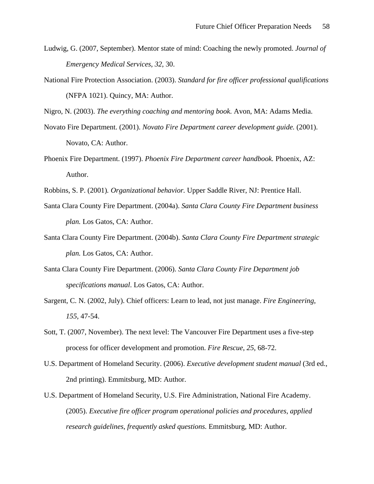- Ludwig, G. (2007, September). Mentor state of mind: Coaching the newly promoted. *Journal of Emergency Medical Services*, *32*, 30.
- National Fire Protection Association. (2003). *Standard for fire officer professional qualifications*  (NFPA 1021). Quincy, MA: Author.

Nigro, N. (2003). *The everything coaching and mentoring book.* Avon, MA: Adams Media.

- Novato Fire Department. (2001). *Novato Fire Department career development guide.* (2001). Novato, CA: Author.
- Phoenix Fire Department. (1997). *Phoenix Fire Department career handbook.* Phoenix, AZ: Author.
- Robbins, S. P. (2001)*. Organizational behavior.* Upper Saddle River, NJ: Prentice Hall.
- Santa Clara County Fire Department. (2004a). *Santa Clara County Fire Department business plan.* Los Gatos, CA: Author.
- Santa Clara County Fire Department. (2004b). *Santa Clara County Fire Department strategic plan.* Los Gatos, CA: Author.
- Santa Clara County Fire Department. (2006). *Santa Clara County Fire Department job specifications manual*. Los Gatos, CA: Author.
- Sargent, C. N. (2002, July). Chief officers: Learn to lead, not just manage. *Fire Engineering*, *155,* 47-54.
- Sott, T. (2007, November). The next level: The Vancouver Fire Department uses a five-step process for officer development and promotion. *Fire Rescue*, *25*, 68-72.
- U.S. Department of Homeland Security. (2006). *Executive development student manual* (3rd ed., 2nd printing). Emmitsburg, MD: Author.
- U.S. Department of Homeland Security, U.S. Fire Administration, National Fire Academy. (2005). *Executive fire officer program operational policies and procedures, applied research guidelines, frequently asked questions.* Emmitsburg, MD: Author.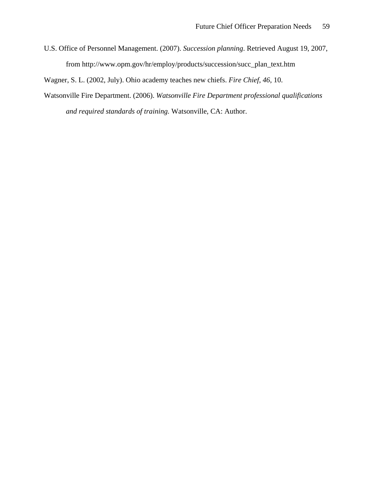U.S. Office of Personnel Management. (2007). *Succession planning*. Retrieved August 19, 2007, from [http://www.opm.gov/hr/employ/products/succession/succ\\_plan\\_text.htm](http://www.opm.gov/hr/employ/products/succession/succ_plan_text.htm)

Wagner, S. L. (2002, July). Ohio academy teaches new chiefs. *Fire Chief*, *46*, 10.

Watsonville Fire Department. (2006). *Watsonville Fire Department professional qualifications and required standards of training.* Watsonville, CA: Author.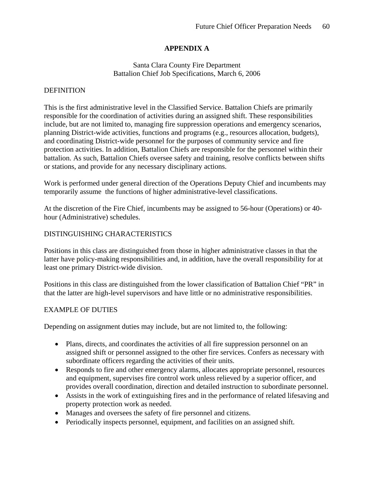# **APPENDIX A**

## Santa Clara County Fire Department Battalion Chief Job Specifications, March 6, 2006

## DEFINITION

This is the first administrative level in the Classified Service. Battalion Chiefs are primarily responsible for the coordination of activities during an assigned shift. These responsibilities include, but are not limited to, managing fire suppression operations and emergency scenarios, planning District-wide activities, functions and programs (e.g., resources allocation, budgets), and coordinating District-wide personnel for the purposes of community service and fire protection activities. In addition, Battalion Chiefs are responsible for the personnel within their battalion. As such, Battalion Chiefs oversee safety and training, resolve conflicts between shifts or stations, and provide for any necessary disciplinary actions.

Work is performed under general direction of the Operations Deputy Chief and incumbents may temporarily assume the functions of higher administrative-level classifications.

At the discretion of the Fire Chief, incumbents may be assigned to 56-hour (Operations) or 40 hour (Administrative) schedules.

## DISTINGUISHING CHARACTERISTICS

Positions in this class are distinguished from those in higher administrative classes in that the latter have policy-making responsibilities and, in addition, have the overall responsibility for at least one primary District-wide division.

Positions in this class are distinguished from the lower classification of Battalion Chief "PR" in that the latter are high-level supervisors and have little or no administrative responsibilities.

## EXAMPLE OF DUTIES

Depending on assignment duties may include, but are not limited to, the following:

- Plans, directs, and coordinates the activities of all fire suppression personnel on an assigned shift or personnel assigned to the other fire services. Confers as necessary with subordinate officers regarding the activities of their units.
- Responds to fire and other emergency alarms, allocates appropriate personnel, resources and equipment, supervises fire control work unless relieved by a superior officer, and provides overall coordination, direction and detailed instruction to subordinate personnel.
- Assists in the work of extinguishing fires and in the performance of related lifesaving and property protection work as needed.
- Manages and oversees the safety of fire personnel and citizens.
- Periodically inspects personnel, equipment, and facilities on an assigned shift.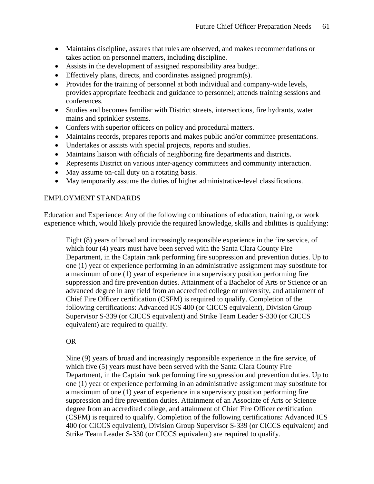- Maintains discipline, assures that rules are observed, and makes recommendations or takes action on personnel matters, including discipline.
- Assists in the development of assigned responsibility area budget.
- Effectively plans, directs, and coordinates assigned program(s).
- Provides for the training of personnel at both individual and company-wide levels, provides appropriate feedback and guidance to personnel; attends training sessions and conferences.
- Studies and becomes familiar with District streets, intersections, fire hydrants, water mains and sprinkler systems.
- Confers with superior officers on policy and procedural matters.
- Maintains records, prepares reports and makes public and/or committee presentations.
- Undertakes or assists with special projects, reports and studies.
- Maintains liaison with officials of neighboring fire departments and districts.
- Represents District on various inter-agency committees and community interaction.
- May assume on-call duty on a rotating basis.
- May temporarily assume the duties of higher administrative-level classifications.

## EMPLOYMENT STANDARDS

Education and Experience: Any of the following combinations of education, training, or work experience which, would likely provide the required knowledge, skills and abilities is qualifying:

Eight (8) years of broad and increasingly responsible experience in the fire service, of which four (4) years must have been served with the Santa Clara County Fire Department, in the Captain rank performing fire suppression and prevention duties. Up to one (1) year of experience performing in an administrative assignment may substitute for a maximum of one (1) year of experience in a supervisory position performing fire suppression and fire prevention duties. Attainment of a Bachelor of Arts or Science or an advanced degree in any field from an accredited college or university, and attainment of Chief Fire Officer certification (CSFM) is required to qualify. Completion of the following certifications: Advanced ICS 400 (or CICCS equivalent), Division Group Supervisor S-339 (or CICCS equivalent) and Strike Team Leader S-330 (or CICCS equivalent) are required to qualify.

## OR

Nine (9) years of broad and increasingly responsible experience in the fire service, of which five (5) years must have been served with the Santa Clara County Fire Department, in the Captain rank performing fire suppression and prevention duties. Up to one (1) year of experience performing in an administrative assignment may substitute for a maximum of one (1) year of experience in a supervisory position performing fire suppression and fire prevention duties. Attainment of an Associate of Arts or Science degree from an accredited college, and attainment of Chief Fire Officer certification (CSFM) is required to qualify. Completion of the following certifications: Advanced ICS 400 (or CICCS equivalent), Division Group Supervisor S-339 (or CICCS equivalent) and Strike Team Leader S-330 (or CICCS equivalent) are required to qualify.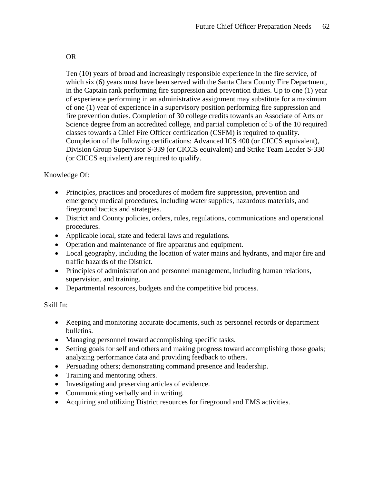OR

Ten (10) years of broad and increasingly responsible experience in the fire service, of which six (6) years must have been served with the Santa Clara County Fire Department, in the Captain rank performing fire suppression and prevention duties. Up to one (1) year of experience performing in an administrative assignment may substitute for a maximum of one (1) year of experience in a supervisory position performing fire suppression and fire prevention duties. Completion of 30 college credits towards an Associate of Arts or Science degree from an accredited college, and partial completion of 5 of the 10 required classes towards a Chief Fire Officer certification (CSFM) is required to qualify. Completion of the following certifications: Advanced ICS 400 (or CICCS equivalent), Division Group Supervisor S-339 (or CICCS equivalent) and Strike Team Leader S-330 (or CICCS equivalent) are required to qualify.

# Knowledge Of:

- Principles, practices and procedures of modern fire suppression, prevention and emergency medical procedures, including water supplies, hazardous materials, and fireground tactics and strategies.
- District and County policies, orders, rules, regulations, communications and operational procedures.
- Applicable local, state and federal laws and regulations.
- Operation and maintenance of fire apparatus and equipment.
- Local geography, including the location of water mains and hydrants, and major fire and traffic hazards of the District.
- Principles of administration and personnel management, including human relations, supervision, and training.
- Departmental resources, budgets and the competitive bid process.

# Skill In:

- Keeping and monitoring accurate documents, such as personnel records or department bulletins.
- Managing personnel toward accomplishing specific tasks.
- Setting goals for self and others and making progress toward accomplishing those goals; analyzing performance data and providing feedback to others.
- Persuading others; demonstrating command presence and leadership.
- Training and mentoring others.
- Investigating and preserving articles of evidence.
- Communicating verbally and in writing.
- Acquiring and utilizing District resources for fireground and EMS activities.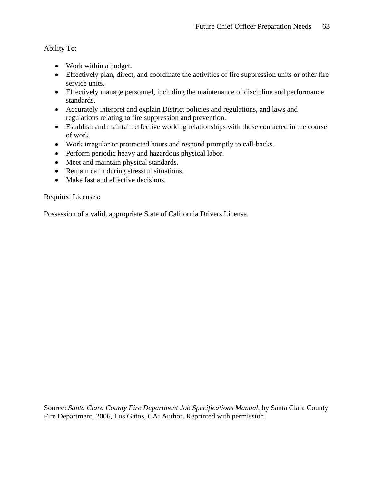Ability To:

- Work within a budget.
- Effectively plan, direct, and coordinate the activities of fire suppression units or other fire service units.
- Effectively manage personnel, including the maintenance of discipline and performance standards.
- Accurately interpret and explain District policies and regulations, and laws and regulations relating to fire suppression and prevention.
- Establish and maintain effective working relationships with those contacted in the course of work.
- Work irregular or protracted hours and respond promptly to call-backs.
- Perform periodic heavy and hazardous physical labor.
- Meet and maintain physical standards.
- Remain calm during stressful situations.
- Make fast and effective decisions.

Required Licenses:

Possession of a valid, appropriate State of California Drivers License.

Source: *Santa Clara County Fire Department Job Specifications Manual*, by Santa Clara County Fire Department, 2006, Los Gatos, CA: Author. Reprinted with permission.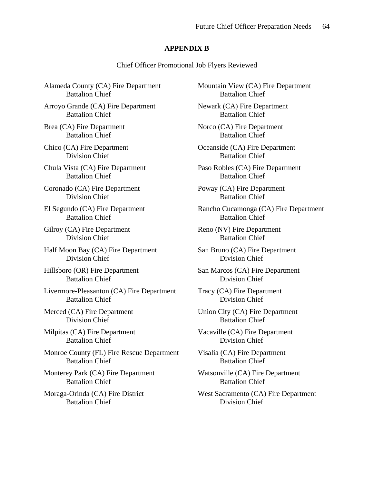## **APPENDIX B**

Chief Officer Promotional Job Flyers Reviewed

Alameda County (CA) Fire Department Battalion Chief

Arroyo Grande (CA) Fire Department Battalion Chief

Brea (CA) Fire Department Battalion Chief

Chico (CA) Fire Department Division Chief

Chula Vista (CA) Fire Department Battalion Chief

Coronado (CA) Fire Department Division Chief

El Segundo (CA) Fire Department Battalion Chief

Gilroy (CA) Fire Department Division Chief

Half Moon Bay (CA) Fire Department Division Chief

Hillsboro (OR) Fire Department Battalion Chief

Livermore-Pleasanton (CA) Fire Department Battalion Chief

Merced (CA) Fire Department Division Chief

Milpitas (CA) Fire Department Battalion Chief

Monroe County (FL) Fire Rescue Department Battalion Chief

Monterey Park (CA) Fire Department Battalion Chief

Moraga-Orinda (CA) Fire District Battalion Chief

Mountain View (CA) Fire Department Battalion Chief

Newark (CA) Fire Department Battalion Chief

Norco (CA) Fire Department Battalion Chief

Oceanside (CA) Fire Department Battalion Chief

Paso Robles (CA) Fire Department Battalion Chief

Poway (CA) Fire Department Battalion Chief

Rancho Cucamonga (CA) Fire Department Battalion Chief

Reno (NV) Fire Department Battalion Chief

San Bruno (CA) Fire Department Division Chief

San Marcos (CA) Fire Department Division Chief

Tracy (CA) Fire Department Division Chief

Union City (CA) Fire Department Battalion Chief

Vacaville (CA) Fire Department Division Chief

Visalia (CA) Fire Department Battalion Chief

Watsonville (CA) Fire Department Battalion Chief

West Sacramento (CA) Fire Department Division Chief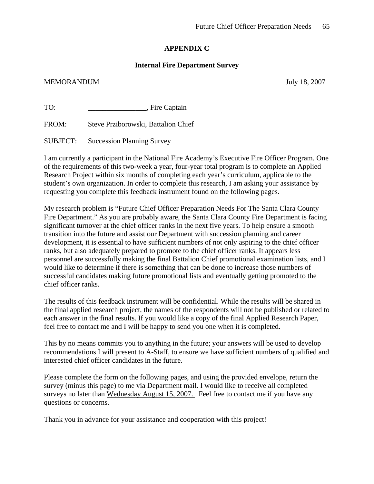# **APPENDIX C**

## **Internal Fire Department Survey**

#### MEMORANDUM July 18, 2007

TO: \_\_\_\_\_\_\_\_\_\_\_\_\_\_\_\_, Fire Captain

FROM: Steve Prziborowski, Battalion Chief

SUBJECT: Succession Planning Survey

I am currently a participant in the National Fire Academy's Executive Fire Officer Program. One of the requirements of this two-week a year, four-year total program is to complete an Applied Research Project within six months of completing each year's curriculum, applicable to the student's own organization. In order to complete this research, I am asking your assistance by requesting you complete this feedback instrument found on the following pages.

My research problem is "Future Chief Officer Preparation Needs For The Santa Clara County Fire Department." As you are probably aware, the Santa Clara County Fire Department is facing significant turnover at the chief officer ranks in the next five years. To help ensure a smooth transition into the future and assist our Department with succession planning and career development, it is essential to have sufficient numbers of not only aspiring to the chief officer ranks, but also adequately prepared to promote to the chief officer ranks. It appears less personnel are successfully making the final Battalion Chief promotional examination lists, and I would like to determine if there is something that can be done to increase those numbers of successful candidates making future promotional lists and eventually getting promoted to the chief officer ranks.

The results of this feedback instrument will be confidential. While the results will be shared in the final applied research project, the names of the respondents will not be published or related to each answer in the final results. If you would like a copy of the final Applied Research Paper, feel free to contact me and I will be happy to send you one when it is completed.

This by no means commits you to anything in the future; your answers will be used to develop recommendations I will present to A-Staff, to ensure we have sufficient numbers of qualified and interested chief officer candidates in the future.

Please complete the form on the following pages, and using the provided envelope, return the survey (minus this page) to me via Department mail. I would like to receive all completed surveys no later than Wednesday August 15, 2007. Feel free to contact me if you have any questions or concerns.

Thank you in advance for your assistance and cooperation with this project!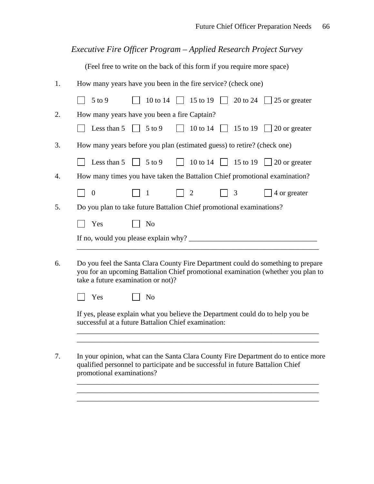# *Executive Fire Officer Program – Applied Research Project Survey*

(Feel free to write on the back of this form if you require more space)

| 1. | How many years have you been in the fire service? (check one)                                                                                                                                              |  |  |
|----|------------------------------------------------------------------------------------------------------------------------------------------------------------------------------------------------------------|--|--|
|    | 10 to 14<br>15 to 19<br>20 to 24  <br>$5$ to $9$<br>$\vert$ 25 or greater<br>$\Box$                                                                                                                        |  |  |
| 2. | How many years have you been a fire Captain?                                                                                                                                                               |  |  |
|    | 10 to 14<br>$\sqrt{5}$ to 9<br>$\sqrt{15}$ to 19<br>Less than 5<br>$\vert$ 20 or greater<br>$\mathbf{1}$                                                                                                   |  |  |
| 3. | How many years before you plan (estimated guess) to retire? (check one)                                                                                                                                    |  |  |
|    | 10 to 14 $\Box$ 15 to 19<br>$\sqrt{5}$ to 9<br>Less than 5<br>  $\vert$ 20 or greater                                                                                                                      |  |  |
| 4. | How many times you have taken the Battalion Chief promotional examination?                                                                                                                                 |  |  |
|    | 4 or greater<br>$\boldsymbol{0}$<br>$\overline{2}$<br>3<br>$\mathbf{1}$                                                                                                                                    |  |  |
| 5. | Do you plan to take future Battalion Chief promotional examinations?                                                                                                                                       |  |  |
|    | Yes<br>No                                                                                                                                                                                                  |  |  |
|    |                                                                                                                                                                                                            |  |  |
| 6. | Do you feel the Santa Clara County Fire Department could do something to prepare<br>you for an upcoming Battalion Chief promotional examination (whether you plan to<br>take a future examination or not)? |  |  |
|    | Yes<br>N <sub>o</sub>                                                                                                                                                                                      |  |  |
|    | If yes, please explain what you believe the Department could do to help you be<br>successful at a future Battalion Chief examination:                                                                      |  |  |
| 7. | In your opinion, what can the Santa Clara County Fire Department do to entice more<br>qualified personnel to participate and be successful in future Battalion Chief<br>promotional examinations?          |  |  |
|    |                                                                                                                                                                                                            |  |  |

\_\_\_\_\_\_\_\_\_\_\_\_\_\_\_\_\_\_\_\_\_\_\_\_\_\_\_\_\_\_\_\_\_\_\_\_\_\_\_\_\_\_\_\_\_\_\_\_\_\_\_\_\_\_\_\_\_\_\_\_\_\_\_\_\_\_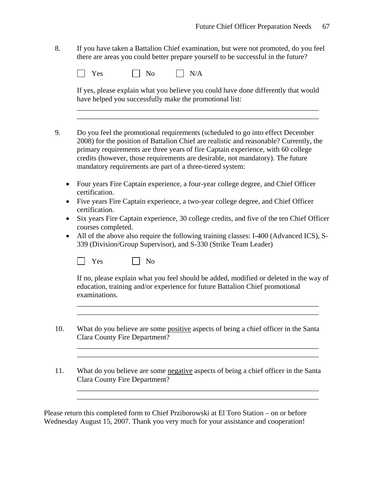8. If you have taken a Battalion Chief examination, but were not promoted, do you feel there are areas you could better prepare yourself to be successful in the future?

| N <sub>o</sub><br>Yes | N/A |
|-----------------------|-----|
|-----------------------|-----|

If yes, please explain what you believe you could have done differently that would have helped you successfully make the promotional list:

\_\_\_\_\_\_\_\_\_\_\_\_\_\_\_\_\_\_\_\_\_\_\_\_\_\_\_\_\_\_\_\_\_\_\_\_\_\_\_\_\_\_\_\_\_\_\_\_\_\_\_\_\_\_\_\_\_\_\_\_\_\_\_\_\_\_ \_\_\_\_\_\_\_\_\_\_\_\_\_\_\_\_\_\_\_\_\_\_\_\_\_\_\_\_\_\_\_\_\_\_\_\_\_\_\_\_\_\_\_\_\_\_\_\_\_\_\_\_\_\_\_\_\_\_\_\_\_\_\_\_\_\_

- 9. Do you feel the promotional requirements (scheduled to go into effect December 2008) for the position of Battalion Chief are realistic and reasonable? Currently, the primary requirements are three years of fire Captain experience, with 60 college credits (however, those requirements are desirable, not mandatory). The future mandatory requirements are part of a three-tiered system:
	- Four years Fire Captain experience, a four-year college degree, and Chief Officer certification.
	- Five years Fire Captain experience, a two-year college degree, and Chief Officer certification.
	- Six years Fire Captain experience, 30 college credits, and five of the ten Chief Officer courses completed.
	- All of the above also require the following training classes: I-400 (Advanced ICS), S-339 (Division/Group Supervisor), and S-330 (Strike Team Leader)

 $\Box$  Yes  $\Box$  No

If no, please explain what you feel should be added, modified or deleted in the way of education, training and/or experience for future Battalion Chief promotional examinations.

\_\_\_\_\_\_\_\_\_\_\_\_\_\_\_\_\_\_\_\_\_\_\_\_\_\_\_\_\_\_\_\_\_\_\_\_\_\_\_\_\_\_\_\_\_\_\_\_\_\_\_\_\_\_\_\_\_\_\_\_\_\_\_\_\_\_ \_\_\_\_\_\_\_\_\_\_\_\_\_\_\_\_\_\_\_\_\_\_\_\_\_\_\_\_\_\_\_\_\_\_\_\_\_\_\_\_\_\_\_\_\_\_\_\_\_\_\_\_\_\_\_\_\_\_\_\_\_\_\_\_\_\_

\_\_\_\_\_\_\_\_\_\_\_\_\_\_\_\_\_\_\_\_\_\_\_\_\_\_\_\_\_\_\_\_\_\_\_\_\_\_\_\_\_\_\_\_\_\_\_\_\_\_\_\_\_\_\_\_\_\_\_\_\_\_\_\_\_\_ \_\_\_\_\_\_\_\_\_\_\_\_\_\_\_\_\_\_\_\_\_\_\_\_\_\_\_\_\_\_\_\_\_\_\_\_\_\_\_\_\_\_\_\_\_\_\_\_\_\_\_\_\_\_\_\_\_\_\_\_\_\_\_\_\_\_

\_\_\_\_\_\_\_\_\_\_\_\_\_\_\_\_\_\_\_\_\_\_\_\_\_\_\_\_\_\_\_\_\_\_\_\_\_\_\_\_\_\_\_\_\_\_\_\_\_\_\_\_\_\_\_\_\_\_\_\_\_\_\_\_\_\_ \_\_\_\_\_\_\_\_\_\_\_\_\_\_\_\_\_\_\_\_\_\_\_\_\_\_\_\_\_\_\_\_\_\_\_\_\_\_\_\_\_\_\_\_\_\_\_\_\_\_\_\_\_\_\_\_\_\_\_\_\_\_\_\_\_\_

- 10. What do you believe are some positive aspects of being a chief officer in the Santa Clara County Fire Department?
- 11. What do you believe are some negative aspects of being a chief officer in the Santa Clara County Fire Department?

Please return this completed form to Chief Prziborowski at El Toro Station – on or before Wednesday August 15, 2007. Thank you very much for your assistance and cooperation!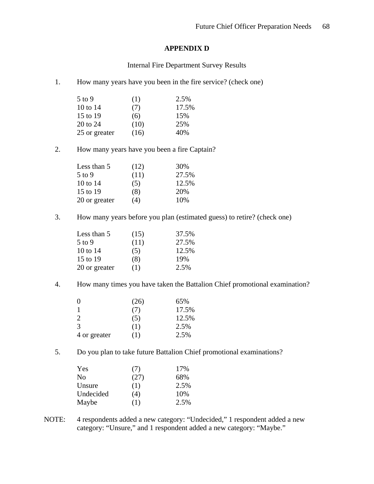# **APPENDIX D**

Internal Fire Department Survey Results

1. How many years have you been in the fire service? (check one)

| $5$ to 9      | (1)  | 2.5%  |
|---------------|------|-------|
| 10 to 14      | (7)  | 17.5% |
| 15 to 19      | (6)  | 15%   |
| 20 to 24      | (10) | 25%   |
| 25 or greater | (16) | 40%   |

2. How many years have you been a fire Captain?

| Less than 5   | (12) | 30%   |
|---------------|------|-------|
| $5$ to 9      | (11) | 27.5% |
| 10 to 14      | (5)  | 12.5% |
| 15 to 19      | (8)  | 20%   |
| 20 or greater | (4)  | 10%   |

3. How many years before you plan (estimated guess) to retire? (check one)

| Less than 5   | (15) | 37.5% |
|---------------|------|-------|
| $5$ to 9      | (11) | 27.5% |
| 10 to $14$    | (5)  | 12.5% |
| 15 to 19      | (8)  | 19%   |
| 20 or greater | (1)  | 2.5%  |

4. How many times you have taken the Battalion Chief promotional examination?

| $\theta$     | (26) | 65%   |
|--------------|------|-------|
| $\mathbf{1}$ | (7)  | 17.5% |
| 2            | (5)  | 12.5% |
| 3            | (1)  | 2.5%  |
| 4 or greater | (1)  | 2.5%  |

5. Do you plan to take future Battalion Chief promotional examinations?

| Yes       | (7)  | 17%  |
|-----------|------|------|
| No        | (27) | 68%  |
| Unsure    | (1)  | 2.5% |
| Undecided | (4)  | 10%  |
| Maybe     | (1)  | 2.5% |

NOTE: 4 respondents added a new category: "Undecided," 1 respondent added a new category: "Unsure," and 1 respondent added a new category: "Maybe."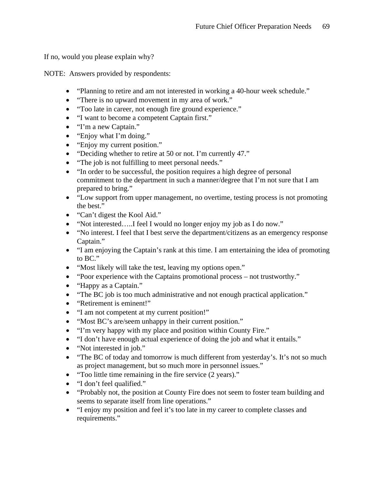If no, would you please explain why?

NOTE: Answers provided by respondents:

- "Planning to retire and am not interested in working a 40-hour week schedule."
- "There is no upward movement in my area of work."
- "Too late in career, not enough fire ground experience."
- "I want to become a competent Captain first."
- "I'm a new Captain."
- "Enjoy what I'm doing."
- "Enjoy my current position."
- "Deciding whether to retire at 50 or not. I'm currently 47."
- "The job is not fulfilling to meet personal needs."
- "In order to be successful, the position requires a high degree of personal commitment to the department in such a manner/degree that I'm not sure that I am prepared to bring."
- "Low support from upper management, no overtime, testing process is not promoting the best."
- "Can't digest the Kool Aid."
- "Not interested.....I feel I would no longer enjoy my job as I do now."
- "No interest. I feel that I best serve the department/citizens as an emergency response Captain."
- "I am enjoying the Captain's rank at this time. I am entertaining the idea of promoting to BC."
- "Most likely will take the test, leaving my options open."
- "Poor experience with the Captains promotional process not trustworthy."
- "Happy as a Captain."
- "The BC job is too much administrative and not enough practical application."
- "Retirement is eminent!"
- "I am not competent at my current position!"
- "Most BC's are/seem unhappy in their current position."
- "I'm very happy with my place and position within County Fire."
- "I don't have enough actual experience of doing the job and what it entails."
- "Not interested in job."
- "The BC of today and tomorrow is much different from yesterday's. It's not so much as project management, but so much more in personnel issues."
- "Too little time remaining in the fire service (2 years)."
- "I don't feel qualified."
- "Probably not, the position at County Fire does not seem to foster team building and seems to separate itself from line operations."
- "I enjoy my position and feel it's too late in my career to complete classes and requirements."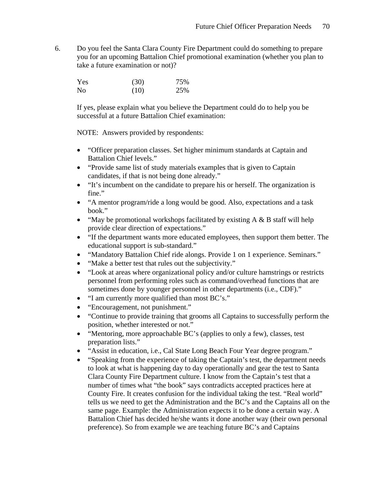6. Do you feel the Santa Clara County Fire Department could do something to prepare you for an upcoming Battalion Chief promotional examination (whether you plan to take a future examination or not)?

| Yes | (30) | 75% |
|-----|------|-----|
| No  | (10) | 25% |

 If yes, please explain what you believe the Department could do to help you be successful at a future Battalion Chief examination:

NOTE: Answers provided by respondents:

- "Officer preparation classes. Set higher minimum standards at Captain and Battalion Chief levels."
- "Provide same list of study materials examples that is given to Captain candidates, if that is not being done already."
- "It's incumbent on the candidate to prepare his or herself. The organization is fine."
- "A mentor program/ride a long would be good. Also, expectations and a task book."
- "May be promotional workshops facilitated by existing  $A \& B$  staff will help provide clear direction of expectations."
- "If the department wants more educated employees, then support them better. The educational support is sub-standard."
- "Mandatory Battalion Chief ride alongs. Provide 1 on 1 experience. Seminars."
- "Make a better test that rules out the subjectivity."
- "Look at areas where organizational policy and/or culture hamstrings or restricts personnel from performing roles such as command/overhead functions that are sometimes done by younger personnel in other departments (i.e., CDF)."
- "I am currently more qualified than most BC's."
- "Encouragement, not punishment."
- "Continue to provide training that grooms all Captains to successfully perform the position, whether interested or not."
- "Mentoring, more approachable BC's (applies to only a few), classes, test preparation lists."
- "Assist in education, i.e., Cal State Long Beach Four Year degree program."
- "Speaking from the experience of taking the Captain's test, the department needs to look at what is happening day to day operationally and gear the test to Santa Clara County Fire Department culture. I know from the Captain's test that a number of times what "the book" says contradicts accepted practices here at County Fire. It creates confusion for the individual taking the test. "Real world" tells us we need to get the Administration and the BC's and the Captains all on the same page. Example: the Administration expects it to be done a certain way. A Battalion Chief has decided he/she wants it done another way (their own personal preference). So from example we are teaching future BC's and Captains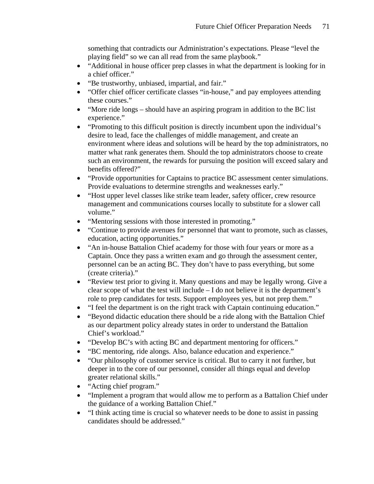something that contradicts our Administration's expectations. Please "level the playing field" so we can all read from the same playbook."

- "Additional in house officer prep classes in what the department is looking for in a chief officer."
- "Be trustworthy, unbiased, impartial, and fair."
- "Offer chief officer certificate classes "in-house," and pay employees attending these courses."
- "More ride longs should have an aspiring program in addition to the BC list experience."
- "Promoting to this difficult position is directly incumbent upon the individual's desire to lead, face the challenges of middle management, and create an environment where ideas and solutions will be heard by the top administrators, no matter what rank generates them. Should the top administrators choose to create such an environment, the rewards for pursuing the position will exceed salary and benefits offered?"
- "Provide opportunities for Captains to practice BC assessment center simulations. Provide evaluations to determine strengths and weaknesses early."
- "Host upper level classes like strike team leader, safety officer, crew resource management and communications courses locally to substitute for a slower call volume."
- "Mentoring sessions with those interested in promoting."
- "Continue to provide avenues for personnel that want to promote, such as classes, education, acting opportunities."
- "An in-house Battalion Chief academy for those with four years or more as a Captain. Once they pass a written exam and go through the assessment center, personnel can be an acting BC. They don't have to pass everything, but some (create criteria)."
- "Review test prior to giving it. Many questions and may be legally wrong. Give a clear scope of what the test will include – I do not believe it is the department's role to prep candidates for tests. Support employees yes, but not prep them."
- "I feel the department is on the right track with Captain continuing education."
- "Beyond didactic education there should be a ride along with the Battalion Chief as our department policy already states in order to understand the Battalion Chief's workload."
- "Develop BC's with acting BC and department mentoring for officers."
- "BC mentoring, ride alongs. Also, balance education and experience."
- "Our philosophy of customer service is critical. But to carry it not further, but deeper in to the core of our personnel, consider all things equal and develop greater relational skills."
- "Acting chief program."
- "Implement a program that would allow me to perform as a Battalion Chief under the guidance of a working Battalion Chief."
- "I think acting time is crucial so whatever needs to be done to assist in passing candidates should be addressed."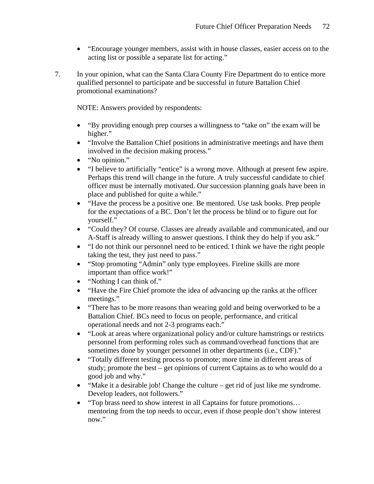- "Encourage younger members, assist with in house classes, easier access on to the acting list or possible a separate list for acting."
- 7. In your opinion, what can the Santa Clara County Fire Department do to entice more qualified personnel to participate and be successful in future Battalion Chief promotional examinations?

NOTE: Answers provided by respondents:

- "By providing enough prep courses a willingness to "take on" the exam will be higher."
- "Involve the Battalion Chief positions in administrative meetings and have them involved in the decision making process."
- "No opinion."
- "I believe to artificially "entice" is a wrong move. Although at present few aspire. Perhaps this trend will change in the future. A truly successful candidate to chief officer must be internally motivated. Our succession planning goals have been in place and published for quite a while."
- "Have the process be a positive one. Be mentored. Use task books. Prep people for the expectations of a BC. Don't let the process be blind or to figure out for yourself."
- "Could they? Of course. Classes are already available and communicated, and our A-Staff is already willing to answer questions. I think they do help if you ask."
- "I do not think our personnel need to be enticed. I think we have the right people taking the test, they just need to pass."
- "Stop promoting "Admin" only type employees. Fireline skills are more important than office work!"
- "Nothing I can think of."
- "Have the Fire Chief promote the idea of advancing up the ranks at the officer meetings."
- "There has to be more reasons than wearing gold and being overworked to be a Battalion Chief. BCs need to focus on people, performance, and critical operational needs and not 2-3 programs each."
- "Look at areas where organizational policy and/or culture hamstrings or restricts personnel from performing roles such as command/overhead functions that are sometimes done by younger personnel in other departments (i.e., CDF)."
- "Totally different testing process to promote; more time in different areas of study; promote the best – get opinions of current Captains as to who would do a good job and why."
- "Make it a desirable job! Change the culture get rid of just like me syndrome. Develop leaders, not followers."
- "Top brass need to show interest in all Captains for future promotions... mentoring from the top needs to occur, even if those people don't show interest now."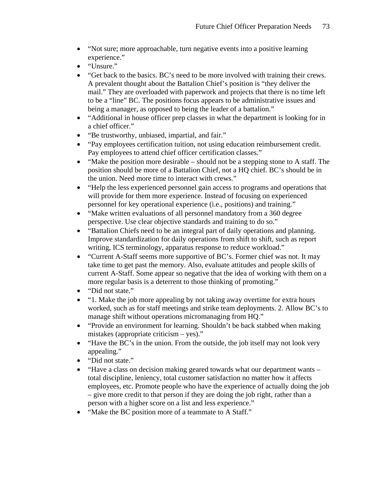- "Not sure; more approachable, turn negative events into a positive learning experience."
- "Unsure."
- "Get back to the basics. BC's need to be more involved with training their crews. A prevalent thought about the Battalion Chief's position is "they deliver the mail." They are overloaded with paperwork and projects that there is no time left to be a "line" BC. The positions focus appears to be administrative issues and being a manager, as opposed to being the leader of a battalion."
- "Additional in house officer prep classes in what the department is looking for in a chief officer."
- "Be trustworthy, unbiased, impartial, and fair."
- "Pay employees certification tuition, not using education reimbursement credit. Pay employees to attend chief officer certification classes."
- "Make the position more desirable should not be a stepping stone to A staff. The position should be more of a Battalion Chief, not a HQ chief. BC's should be in the union. Need more time to interact with crews."
- "Help the less experienced personnel gain access to programs and operations that will provide for them more experience. Instead of focusing on experienced personnel for key operational experience (i.e., positions) and training."
- "Make written evaluations of all personnel mandatory from a 360 degree perspective. Use clear objective standards and training to do so."
- "Battalion Chiefs need to be an integral part of daily operations and planning. Improve standardization for daily operations from shift to shift, such as report writing, ICS terminology, apparatus response to reduce workload."
- "Current A-Staff seems more supportive of BC's. Former chief was not. It may take time to get past the memory. Also, evaluate attitudes and people skills of current A-Staff. Some appear so negative that the idea of working with them on a more regular basis is a deterrent to those thinking of promoting."
- "Did not state."
- "1. Make the job more appealing by not taking away overtime for extra hours worked, such as for staff meetings and strike team deployments. 2. Allow BC's to manage shift without operations micromanaging from HQ."
- "Provide an environment for learning. Shouldn't be back stabbed when making mistakes (appropriate criticism – yes)."
- "Have the BC's in the union. From the outside, the job itself may not look very appealing."
- "Did not state."
- "Have a class on decision making geared towards what our department wants total discipline, leniency, total customer satisfaction no matter how it affects employees, etc. Promote people who have the experience of actually doing the job – give more credit to that person if they are doing the job right, rather than a person with a higher score on a list and less experience."
- "Make the BC position more of a teammate to A Staff."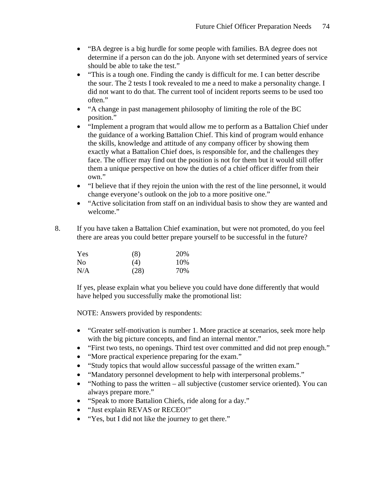- "BA degree is a big hurdle for some people with families. BA degree does not determine if a person can do the job. Anyone with set determined years of service should be able to take the test."
- "This is a tough one. Finding the candy is difficult for me. I can better describe the sour. The 2 tests I took revealed to me a need to make a personality change. I did not want to do that. The current tool of incident reports seems to be used too often."
- "A change in past management philosophy of limiting the role of the BC position."
- "Implement a program that would allow me to perform as a Battalion Chief under the guidance of a working Battalion Chief. This kind of program would enhance the skills, knowledge and attitude of any company officer by showing them exactly what a Battalion Chief does, is responsible for, and the challenges they face. The officer may find out the position is not for them but it would still offer them a unique perspective on how the duties of a chief officer differ from their own."
- "I believe that if they rejoin the union with the rest of the line personnel, it would change everyone's outlook on the job to a more positive one."
- "Active solicitation from staff on an individual basis to show they are wanted and welcome."
- 8. If you have taken a Battalion Chief examination, but were not promoted, do you feel there are areas you could better prepare yourself to be successful in the future?

| Yes            | (8)  | 20% |
|----------------|------|-----|
| N <sub>0</sub> | (4)  | 10% |
| N/A            | (28) | 70% |

If yes, please explain what you believe you could have done differently that would have helped you successfully make the promotional list:

- "Greater self-motivation is number 1. More practice at scenarios, seek more help with the big picture concepts, and find an internal mentor."
- "First two tests, no openings. Third test over committed and did not prep enough."
- "More practical experience preparing for the exam."
- "Study topics that would allow successful passage of the written exam."
- "Mandatory personnel development to help with interpersonal problems."
- "Nothing to pass the written all subjective (customer service oriented). You can always prepare more."
- "Speak to more Battalion Chiefs, ride along for a day."
- "Just explain REVAS or RECEO!"
- "Yes, but I did not like the journey to get there."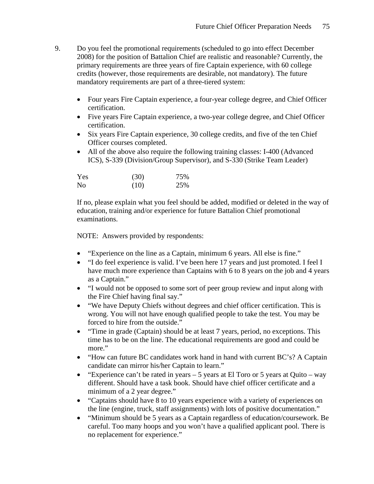- 9. Do you feel the promotional requirements (scheduled to go into effect December 2008) for the position of Battalion Chief are realistic and reasonable? Currently, the primary requirements are three years of fire Captain experience, with 60 college credits (however, those requirements are desirable, not mandatory). The future mandatory requirements are part of a three-tiered system:
	- Four years Fire Captain experience, a four-year college degree, and Chief Officer certification.
	- Five years Fire Captain experience, a two-year college degree, and Chief Officer certification.
	- Six years Fire Captain experience, 30 college credits, and five of the ten Chief Officer courses completed.
	- All of the above also require the following training classes: I-400 (Advanced ICS), S-339 (Division/Group Supervisor), and S-330 (Strike Team Leader)

| Yes            | (30) | 75% |
|----------------|------|-----|
| N <sub>0</sub> | (10) | 25% |

If no, please explain what you feel should be added, modified or deleted in the way of education, training and/or experience for future Battalion Chief promotional examinations.

- "Experience on the line as a Captain, minimum 6 years. All else is fine."
- "I do feel experience is valid. I've been here 17 years and just promoted. I feel I have much more experience than Captains with 6 to 8 years on the job and 4 years as a Captain."
- "I would not be opposed to some sort of peer group review and input along with the Fire Chief having final say."
- "We have Deputy Chiefs without degrees and chief officer certification. This is wrong. You will not have enough qualified people to take the test. You may be forced to hire from the outside."
- "Time in grade (Captain) should be at least 7 years, period, no exceptions. This time has to be on the line. The educational requirements are good and could be more."
- "How can future BC candidates work hand in hand with current BC's? A Captain candidate can mirror his/her Captain to learn."
- "Experience can't be rated in years 5 years at El Toro or 5 years at Quito way different. Should have a task book. Should have chief officer certificate and a minimum of a 2 year degree."
- "Captains should have 8 to 10 years experience with a variety of experiences on the line (engine, truck, staff assignments) with lots of positive documentation."
- "Minimum should be 5 years as a Captain regardless of education/coursework. Be careful. Too many hoops and you won't have a qualified applicant pool. There is no replacement for experience."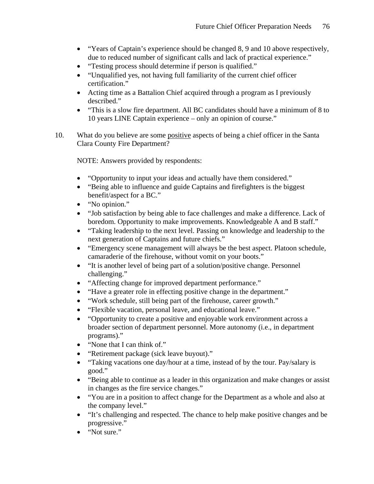- "Years of Captain's experience should be changed 8, 9 and 10 above respectively, due to reduced number of significant calls and lack of practical experience."
- "Testing process should determine if person is qualified."
- "Unqualified yes, not having full familiarity of the current chief officer certification."
- Acting time as a Battalion Chief acquired through a program as I previously described."
- "This is a slow fire department. All BC candidates should have a minimum of 8 to 10 years LINE Captain experience – only an opinion of course."
- 10. What do you believe are some positive aspects of being a chief officer in the Santa Clara County Fire Department?

- "Opportunity to input your ideas and actually have them considered."
- "Being able to influence and guide Captains and firefighters is the biggest benefit/aspect for a BC."
- "No opinion."
- "Job satisfaction by being able to face challenges and make a difference. Lack of boredom. Opportunity to make improvements. Knowledgeable A and B staff."
- "Taking leadership to the next level. Passing on knowledge and leadership to the next generation of Captains and future chiefs."
- "Emergency scene management will always be the best aspect. Platoon schedule, camaraderie of the firehouse, without vomit on your boots."
- "It is another level of being part of a solution/positive change. Personnel challenging."
- "Affecting change for improved department performance."
- "Have a greater role in effecting positive change in the department."
- "Work schedule, still being part of the firehouse, career growth."
- "Flexible vacation, personal leave, and educational leave."
- "Opportunity to create a positive and enjoyable work environment across a broader section of department personnel. More autonomy (i.e., in department programs)."
- "None that I can think of."
- "Retirement package (sick leave buyout)."
- "Taking vacations one day/hour at a time, instead of by the tour. Pay/salary is good."
- "Being able to continue as a leader in this organization and make changes or assist in changes as the fire service changes."
- "You are in a position to affect change for the Department as a whole and also at the company level."
- "It's challenging and respected. The chance to help make positive changes and be progressive."
- "Not sure."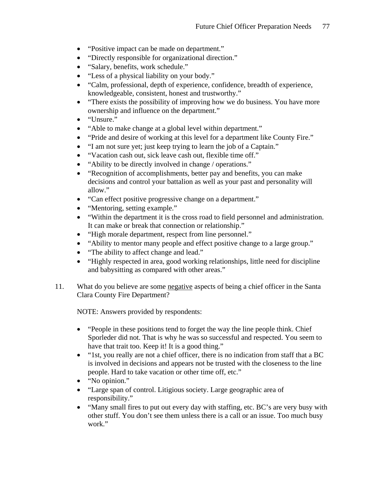- "Positive impact can be made on department."
- "Directly responsible for organizational direction."
- "Salary, benefits, work schedule."
- "Less of a physical liability on your body."
- "Calm, professional, depth of experience, confidence, breadth of experience, knowledgeable, consistent, honest and trustworthy."
- "There exists the possibility of improving how we do business. You have more ownership and influence on the department."
- "Unsure."
- "Able to make change at a global level within department."
- "Pride and desire of working at this level for a department like County Fire."
- "I am not sure yet; just keep trying to learn the job of a Captain."
- "Vacation cash out, sick leave cash out, flexible time off."
- "Ability to be directly involved in change / operations."
- "Recognition of accomplishments, better pay and benefits, you can make decisions and control your battalion as well as your past and personality will allow."
- "Can effect positive progressive change on a department."
- "Mentoring, setting example."
- "Within the department it is the cross road to field personnel and administration. It can make or break that connection or relationship."
- "High morale department, respect from line personnel."
- "Ability to mentor many people and effect positive change to a large group."
- "The ability to affect change and lead."
- "Highly respected in area, good working relationships, little need for discipline and babysitting as compared with other areas."
- 11. What do you believe are some negative aspects of being a chief officer in the Santa Clara County Fire Department?

- "People in these positions tend to forget the way the line people think. Chief Sporleder did not. That is why he was so successful and respected. You seem to have that trait too. Keep it! It is a good thing."
- "1st, you really are not a chief officer, there is no indication from staff that a BC is involved in decisions and appears not be trusted with the closeness to the line people. Hard to take vacation or other time off, etc."
- "No opinion."
- "Large span of control. Litigious society. Large geographic area of responsibility."
- "Many small fires to put out every day with staffing, etc. BC's are very busy with other stuff. You don't see them unless there is a call or an issue. Too much busy work."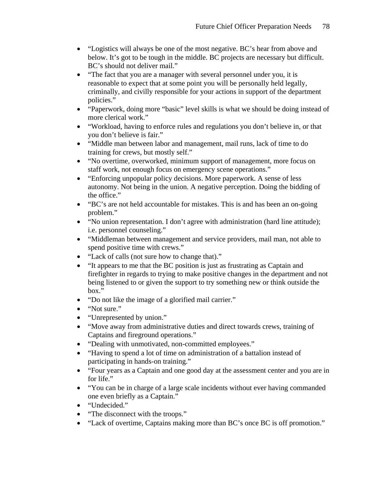- "Logistics will always be one of the most negative. BC's hear from above and below. It's got to be tough in the middle. BC projects are necessary but difficult. BC's should not deliver mail."
- "The fact that you are a manager with several personnel under you, it is reasonable to expect that at some point you will be personally held legally, criminally, and civilly responsible for your actions in support of the department policies."
- "Paperwork, doing more "basic" level skills is what we should be doing instead of more clerical work."
- "Workload, having to enforce rules and regulations you don't believe in, or that you don't believe is fair."
- "Middle man between labor and management, mail runs, lack of time to do training for crews, but mostly self."
- "No overtime, overworked, minimum support of management, more focus on staff work, not enough focus on emergency scene operations."
- "Enforcing unpopular policy decisions. More paperwork. A sense of less autonomy. Not being in the union. A negative perception. Doing the bidding of the office."
- "BC's are not held accountable for mistakes. This is and has been an on-going problem."
- "No union representation. I don't agree with administration (hard line attitude); i.e. personnel counseling."
- "Middleman between management and service providers, mail man, not able to spend positive time with crews."
- "Lack of calls (not sure how to change that)."
- "It appears to me that the BC position is just as frustrating as Captain and firefighter in regards to trying to make positive changes in the department and not being listened to or given the support to try something new or think outside the box."
- "Do not like the image of a glorified mail carrier."
- "Not sure."
- "Unrepresented by union."
- "Move away from administrative duties and direct towards crews, training of Captains and fireground operations."
- "Dealing with unmotivated, non-committed employees."
- "Having to spend a lot of time on administration of a battalion instead of participating in hands-on training."
- "Four years as a Captain and one good day at the assessment center and you are in for life."
- "You can be in charge of a large scale incidents without ever having commanded one even briefly as a Captain."
- "Undecided."
- "The disconnect with the troops."
- "Lack of overtime, Captains making more than BC's once BC is off promotion."